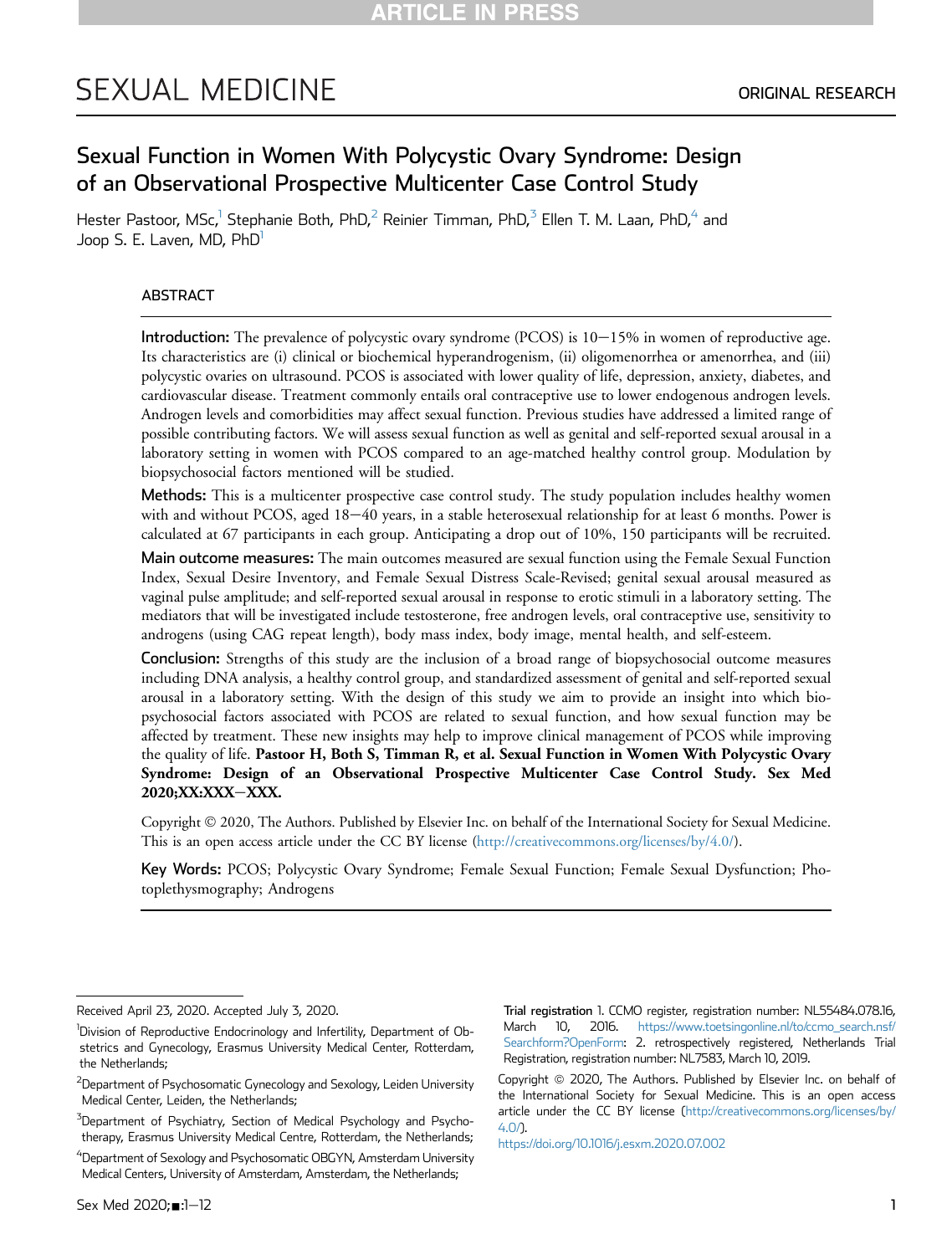# **SEXUAL MEDICINE**

# Sexual Function in Women With Polycystic Ovary Syndrome: Design of an Observational Prospective Multicenter Case Control Study

Hester Pastoor, MSc,<sup>1</sup> Stephanie Both, PhD,<sup>[2](#page-0-0)</sup> Reinier Timman, PhD,<sup>[3](#page-0-1)</sup> Ellen T. M. Laan, PhD,<sup>4</sup> and Joop S. E. Laven, MD, PhD<sup>1</sup>

# ABSTRACT

**Introduction:** The prevalence of polycystic ovary syndrome (PCOS) is  $10-15%$  in women of reproductive age. Its characteristics are (i) clinical or biochemical hyperandrogenism, (ii) oligomenorrhea or amenorrhea, and (iii) polycystic ovaries on ultrasound. PCOS is associated with lower quality of life, depression, anxiety, diabetes, and cardiovascular disease. Treatment commonly entails oral contraceptive use to lower endogenous androgen levels. Androgen levels and comorbidities may affect sexual function. Previous studies have addressed a limited range of possible contributing factors. We will assess sexual function as well as genital and self-reported sexual arousal in a laboratory setting in women with PCOS compared to an age-matched healthy control group. Modulation by biopsychosocial factors mentioned will be studied.

Methods: This is a multicenter prospective case control study. The study population includes healthy women with and without PCOS, aged 18-40 years, in a stable heterosexual relationship for at least 6 months. Power is calculated at 67 participants in each group. Anticipating a drop out of 10%, 150 participants will be recruited.

Main outcome measures: The main outcomes measured are sexual function using the Female Sexual Function Index, Sexual Desire Inventory, and Female Sexual Distress Scale-Revised; genital sexual arousal measured as vaginal pulse amplitude; and self-reported sexual arousal in response to erotic stimuli in a laboratory setting. The mediators that will be investigated include testosterone, free androgen levels, oral contraceptive use, sensitivity to androgens (using CAG repeat length), body mass index, body image, mental health, and self-esteem.

Conclusion: Strengths of this study are the inclusion of a broad range of biopsychosocial outcome measures including DNA analysis, a healthy control group, and standardized assessment of genital and self-reported sexual arousal in a laboratory setting. With the design of this study we aim to provide an insight into which biopsychosocial factors associated with PCOS are related to sexual function, and how sexual function may be affected by treatment. These new insights may help to improve clinical management of PCOS while improving the quality of life. Pastoor H, Both S, Timman R, et al. Sexual Function in Women With Polycystic Ovary Syndrome: Design of an Observational Prospective Multicenter Case Control Study. Sex Med 2020;XX:XXX-XXX.

Copyright 2020, The Authors. Published by Elsevier Inc. on behalf of the International Society for Sexual Medicine. This is an open access article under the CC BY license (<http://creativecommons.org/licenses/by/4.0/>).

Key Words: PCOS; Polycystic Ovary Syndrome; Female Sexual Function; Female Sexual Dysfunction; Photoplethysmography; Androgens

Trial registration 1. CCMO register, registration number: NL55484.078.16, March 10, 2016. [https://www.toetsingonline.nl/to/ccmo\\_search.nsf/](https://www.toetsingonline.nl/to/ccmo_search.nsf/Searchform?OpenForm) [Searchform?OpenForm](https://www.toetsingonline.nl/to/ccmo_search.nsf/Searchform?OpenForm): 2. retrospectively registered, Netherlands Trial Registration, registration number: NL7583, March 10, 2019.

Copyright @ 2020, The Authors. Published by Elsevier Inc. on behalf of the International Society for Sexual Medicine. This is an open access article under the CC BY license ([http://creativecommons.org/licenses/by/](http://creativecommons.org/licenses/by/4.0/) [4.0/\)](http://creativecommons.org/licenses/by/4.0/).

<https://doi.org/10.1016/j.esxm.2020.07.002>

Received April 23, 2020. Accepted July 3, 2020.

<sup>&</sup>lt;sup>1</sup>Division of Reproductive Endocrinology and Infertility, Department of Obstetrics and Gynecology, Erasmus University Medical Center, Rotterdam, the Netherlands;

<span id="page-0-0"></span> $^2$ Department of Psychosomatic Gynecology and Sexology, Leiden University Medical Center, Leiden, the Netherlands;

<span id="page-0-1"></span><sup>&</sup>lt;sup>3</sup>Department of Psychiatry, Section of Medical Psychology and Psychotherapy, Erasmus University Medical Centre, Rotterdam, the Netherlands;

<span id="page-0-2"></span><sup>&</sup>lt;sup>4</sup>Department of Sexology and Psychosomatic OBGYN, Amsterdam University Medical Centers, University of Amsterdam, Amsterdam, the Netherlands;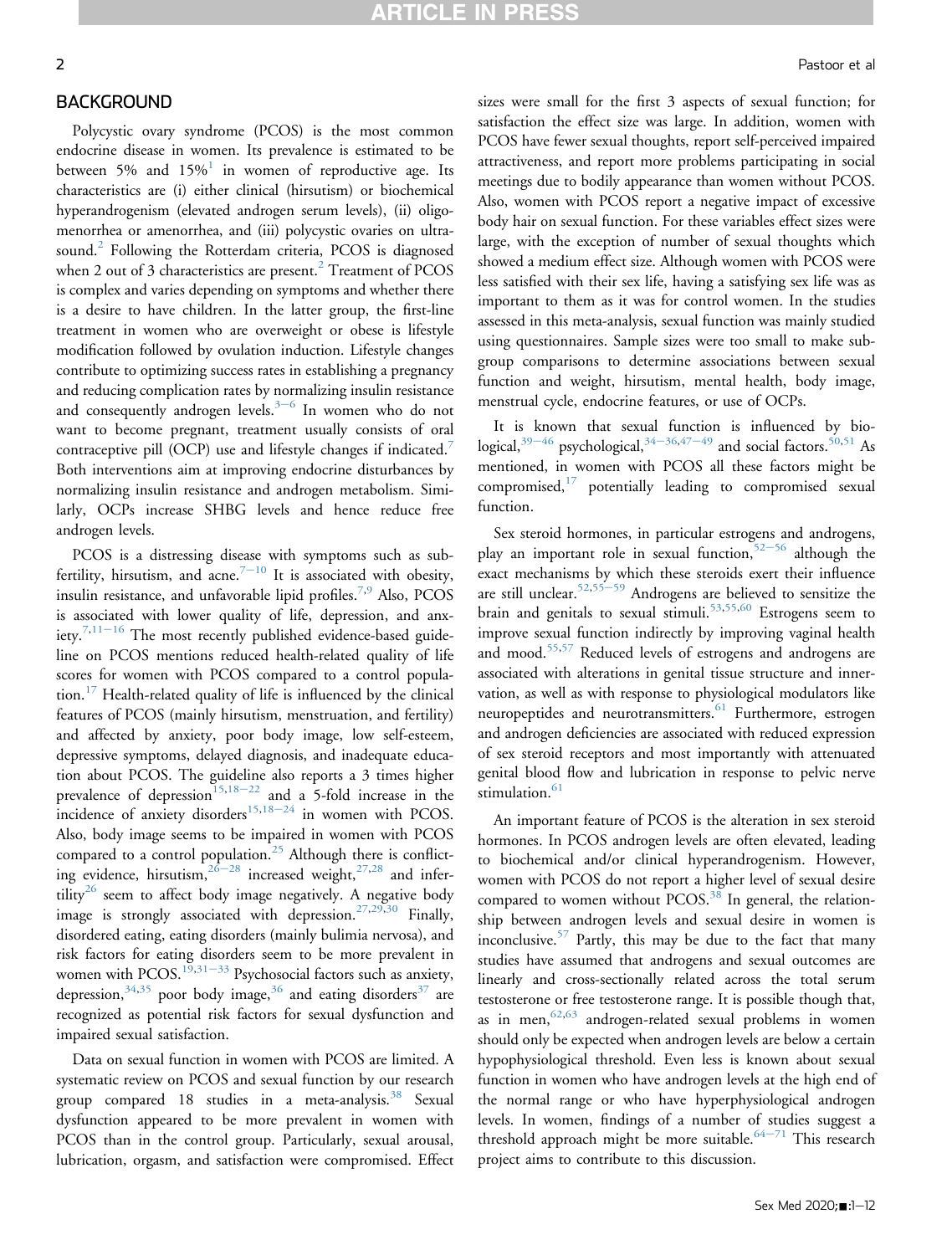#### BACKGROUND

Polycystic ovary syndrome (PCOS) is the most common endocrine disease in women. Its prevalence is estimated to be between 5% and  $15\%$  $15\%$  in women of reproductive age. Its characteristics are (i) either clinical (hirsutism) or biochemical hyperandrogenism (elevated androgen serum levels), (ii) oligomenorrhea or amenorrhea, and (iii) polycystic ovaries on ultra-sound.<sup>[2](#page-7-1)</sup> Following the Rotterdam criteria, PCOS is diagnosed when [2](#page-7-1) out of 3 characteristics are present. $^{2}$  Treatment of PCOS is complex and varies depending on symptoms and whether there is a desire to have children. In the latter group, the first-line treatment in women who are overweight or obese is lifestyle modification followed by ovulation induction. Lifestyle changes contribute to optimizing success rates in establishing a pregnancy and reducing complication rates by normalizing insulin resistance and consequently androgen levels. $3-6$  $3-6$  $3-6$  In women who do not want to become pregnant, treatment usually consists of oral contraceptive pill (OCP) use and lifestyle changes if indicated.<sup>[7](#page-7-3)</sup> Both interventions aim at improving endocrine disturbances by normalizing insulin resistance and androgen metabolism. Similarly, OCPs increase SHBG levels and hence reduce free androgen levels.

PCOS is a distressing disease with symptoms such as sub-fertility, hirsutism, and acne.<sup>[7](#page-7-3)-[10](#page-7-3)</sup> It is associated with obesity, insulin resistance, and unfavorable lipid profiles.<sup>[7,](#page-7-3)[9](#page-7-4)</sup> Also, PCOS is associated with lower quality of life, depression, and anx-iety.<sup>[7](#page-7-3)[,11](#page-7-5)-[16](#page-7-5)</sup> The most recently published evidence-based guideline on PCOS mentions reduced health-related quality of life scores for women with PCOS compared to a control popula- $\chi$  tion.<sup>[17](#page-7-6)</sup> Health-related quality of life is influenced by the clinical features of PCOS (mainly hirsutism, menstruation, and fertility) and affected by anxiety, poor body image, low self-esteem, depressive symptoms, delayed diagnosis, and inadequate education about PCOS. The guideline also reports a 3 times higher prevalence of depression<sup>[15,](#page-7-7)[18](#page-7-8)-[22](#page-7-8)</sup> and a 5-fold increase in the incidence of anxiety disorders<sup>[15,](#page-7-7)[18](#page-7-8)-[24](#page-7-8)</sup> in women with PCOS. Also, body image seems to be impaired in women with PCOS compared to a control population.<sup>[25](#page-8-0)</sup> Although there is conflicting evidence, hirsutism,  $26-28$  $26-28$  $26-28$  increased weight,  $27,28$  $27,28$  and infer- $tility<sup>26</sup>$  $tility<sup>26</sup>$  $tility<sup>26</sup>$  seem to affect body image negatively. A negative body image is strongly associated with depression.<sup>[27,](#page-8-2)[29](#page-8-4),[30](#page-8-5)</sup> Finally, disordered eating, eating disorders (mainly bulimia nervosa), and risk factors for eating disorders seem to be more prevalent in women with PCOS.<sup>[19,](#page-7-9)[31](#page-8-6)–[33](#page-8-6)</sup> Psychosocial factors such as anxiety, depression,  $34,35$  $34,35$  poor body image,  $36$  and eating disorders  $37$  are recognized as potential risk factors for sexual dysfunction and impaired sexual satisfaction.

Data on sexual function in women with PCOS are limited. A systematic review on PCOS and sexual function by our research group compared 18 studies in a meta-analysis.<sup>[38](#page-8-11)</sup> Sexual dysfunction appeared to be more prevalent in women with PCOS than in the control group. Particularly, sexual arousal, lubrication, orgasm, and satisfaction were compromised. Effect

sizes were small for the first 3 aspects of sexual function; for satisfaction the effect size was large. In addition, women with PCOS have fewer sexual thoughts, report self-perceived impaired attractiveness, and report more problems participating in social meetings due to bodily appearance than women without PCOS. Also, women with PCOS report a negative impact of excessive body hair on sexual function. For these variables effect sizes were large, with the exception of number of sexual thoughts which showed a medium effect size. Although women with PCOS were less satisfied with their sex life, having a satisfying sex life was as important to them as it was for control women. In the studies assessed in this meta-analysis, sexual function was mainly studied using questionnaires. Sample sizes were too small to make subgroup comparisons to determine associations between sexual function and weight, hirsutism, mental health, body image, menstrual cycle, endocrine features, or use of OCPs.

It is known that sexual function is influenced by biological, $^{39-46}$  $^{39-46}$  $^{39-46}$  $^{39-46}$  $^{39-46}$  psychological, $^{34-36,47-49}$  $^{34-36,47-49}$  $^{34-36,47-49}$  $^{34-36,47-49}$  $^{34-36,47-49}$  $^{34-36,47-49}$  $^{34-36,47-49}$  $^{34-36,47-49}$  and social factors.  $^{50,51}$  $^{50,51}$  $^{50,51}$  $^{50,51}$  As mentioned, in women with PCOS all these factors might be compromised, $17$  potentially leading to compromised sexual function.

Sex steroid hormones, in particular estrogens and androgens, play an important role in sexual function,  $52-56$  $52-56$  $52-56$  although the exact mechanisms by which these steroids exert their influence are still unclear.<sup>[52,](#page-8-16)[55](#page-8-17)–[59](#page-8-17)</sup> Androgens are believed to sensitize the brain and genitals to sexual stimuli.<sup>[53](#page-8-18)[,55,](#page-8-17)[60](#page-8-19)</sup> Estrogens seem to improve sexual function indirectly by improving vaginal health and mood.[55](#page-8-17)[,57](#page-8-20) Reduced levels of estrogens and androgens are associated with alterations in genital tissue structure and innervation, as well as with response to physiological modulators like neuropeptides and neurotransmitters.<sup>[61](#page-9-0)</sup> Furthermore, estrogen and androgen deficiencies are associated with reduced expression of sex steroid receptors and most importantly with attenuated genital blood flow and lubrication in response to pelvic nerve stimulation. $61$ 

An important feature of PCOS is the alteration in sex steroid hormones. In PCOS androgen levels are often elevated, leading to biochemical and/or clinical hyperandrogenism. However, women with PCOS do not report a higher level of sexual desire compared to women without  $PCOS<sup>38</sup>$  $PCOS<sup>38</sup>$  $PCOS<sup>38</sup>$  In general, the relationship between androgen levels and sexual desire in women is inconclusive.<sup>[57](#page-8-20)</sup> Partly, this may be due to the fact that many studies have assumed that androgens and sexual outcomes are linearly and cross-sectionally related across the total serum testosterone or free testosterone range. It is possible though that, as in men,  $62,63$  $62,63$  androgen-related sexual problems in women should only be expected when androgen levels are below a certain hypophysiological threshold. Even less is known about sexual function in women who have androgen levels at the high end of the normal range or who have hyperphysiological androgen levels. In women, findings of a number of studies suggest a threshold approach might be more suitable.<sup>[64](#page-9-3)-[71](#page-9-3)</sup> This research project aims to contribute to this discussion.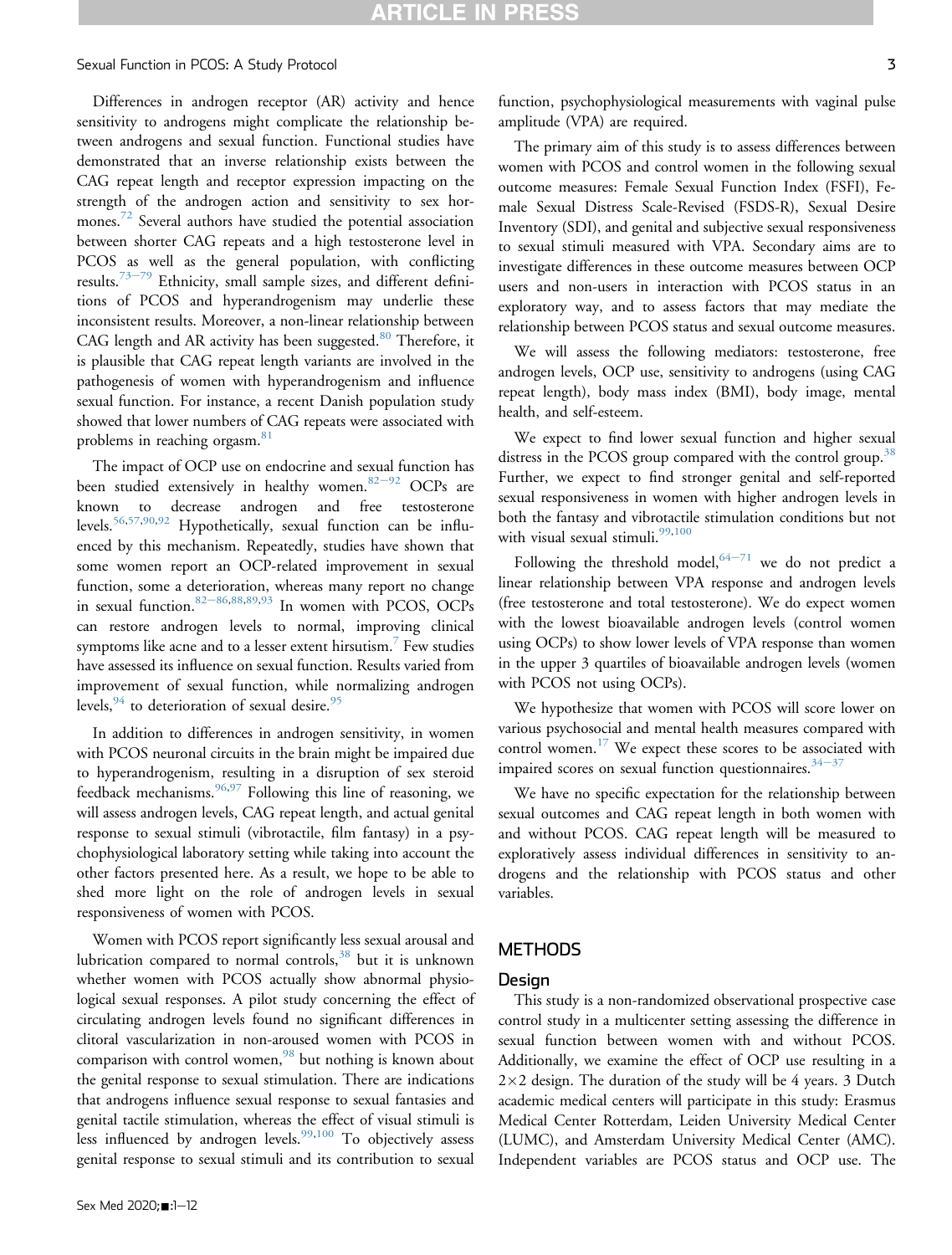Differences in androgen receptor (AR) activity and hence sensitivity to androgens might complicate the relationship between androgens and sexual function. Functional studies have demonstrated that an inverse relationship exists between the CAG repeat length and receptor expression impacting on the strength of the androgen action and sensitivity to sex hor-mones.<sup>[72](#page-9-4)</sup> Several authors have studied the potential association between shorter CAG repeats and a high testosterone level in PCOS as well as the general population, with conflicting results.<sup>[73](#page-9-5)-[79](#page-9-5)</sup> Ethnicity, small sample sizes, and different definitions of PCOS and hyperandrogenism may underlie these inconsistent results. Moreover, a non-linear relationship between CAG length and AR activity has been suggested.<sup>[80](#page-9-6)</sup> Therefore, it is plausible that CAG repeat length variants are involved in the pathogenesis of women with hyperandrogenism and influence sexual function. For instance, a recent Danish population study showed that lower numbers of CAG repeats were associated with problems in reaching orgasm.<sup>[81](#page-9-7)</sup>

The impact of OCP use on endocrine and sexual function has been studied extensively in healthy women. $82-92$  $82-92$  $82-92$  OCPs are known to decrease androgen and free testosterone levels.[56,](#page-8-21)[57](#page-8-20)[,90,](#page-10-0)[92](#page-10-1) Hypothetically, sexual function can be influenced by this mechanism. Repeatedly, studies have shown that some women report an OCP-related improvement in sexual function, some a deterioration, whereas many report no change in sexual function.  $82-86,88,89,93$  $82-86,88,89,93$  $82-86,88,89,93$  $82-86,88,89,93$  $82-86,88,89,93$  $82-86,88,89,93$  $82-86,88,89,93$  In women with PCOS, OCPs can restore androgen levels to normal, improving clinical symptoms like acne and to a lesser extent hirsutism.<sup>[7](#page-7-3)</sup> Few studies have assessed its influence on sexual function. Results varied from improvement of sexual function, while normalizing androgen levels,  $94$  to deterioration of sexual desire.  $95$ 

In addition to differences in androgen sensitivity, in women with PCOS neuronal circuits in the brain might be impaired due to hyperandrogenism, resulting in a disruption of sex steroid feedback mechanisms.  $96,97$  $96,97$  Following this line of reasoning, we will assess androgen levels, CAG repeat length, and actual genital response to sexual stimuli (vibrotactile, film fantasy) in a psychophysiological laboratory setting while taking into account the other factors presented here. As a result, we hope to be able to shed more light on the role of androgen levels in sexual responsiveness of women with PCOS.

Women with PCOS report significantly less sexual arousal and lubrication compared to normal controls, $38$  but it is unknown whether women with PCOS actually show abnormal physiological sexual responses. A pilot study concerning the effect of circulating androgen levels found no significant differences in clitoral vascularization in non-aroused women with PCOS in comparison with control women, $98$  but nothing is known about the genital response to sexual stimulation. There are indications that androgens influence sexual response to sexual fantasies and genital tactile stimulation, whereas the effect of visual stimuli is less influenced by androgen levels.<sup>[99](#page-10-10)[,100](#page-10-11)</sup> To objectively assess genital response to sexual stimuli and its contribution to sexual

The primary aim of this study is to assess differences between women with PCOS and control women in the following sexual outcome measures: Female Sexual Function Index (FSFI), Female Sexual Distress Scale-Revised (FSDS-R), Sexual Desire Inventory (SDI), and genital and subjective sexual responsiveness to sexual stimuli measured with VPA. Secondary aims are to investigate differences in these outcome measures between OCP users and non-users in interaction with PCOS status in an exploratory way, and to assess factors that may mediate the relationship between PCOS status and sexual outcome measures.

We will assess the following mediators: testosterone, free androgen levels, OCP use, sensitivity to androgens (using CAG repeat length), body mass index (BMI), body image, mental health, and self-esteem.

We expect to find lower sexual function and higher sexual distress in the PCOS group compared with the control group.<sup>[38](#page-8-11)</sup> Further, we expect to find stronger genital and self-reported sexual responsiveness in women with higher androgen levels in both the fantasy and vibrotactile stimulation conditions but not with visual sexual stimuli.<sup>[99](#page-10-10)[,100](#page-10-11)</sup>

Following the threshold model,  $64-71$  $64-71$  $64-71$  we do not predict a linear relationship between VPA response and androgen levels (free testosterone and total testosterone). We do expect women with the lowest bioavailable androgen levels (control women using OCPs) to show lower levels of VPA response than women in the upper 3 quartiles of bioavailable androgen levels (women with PCOS not using OCPs).

We hypothesize that women with PCOS will score lower on various psychosocial and mental health measures compared with control women. $17$  We expect these scores to be associated with impaired scores on sexual function questionnaires. $34-37$  $34-37$  $34-37$ 

We have no specific expectation for the relationship between sexual outcomes and CAG repeat length in both women with and without PCOS. CAG repeat length will be measured to exploratively assess individual differences in sensitivity to androgens and the relationship with PCOS status and other variables.

# **METHODS**

# Design

This study is a non-randomized observational prospective case control study in a multicenter setting assessing the difference in sexual function between women with and without PCOS. Additionally, we examine the effect of OCP use resulting in a  $2\times2$  design. The duration of the study will be 4 years. 3 Dutch academic medical centers will participate in this study: Erasmus Medical Center Rotterdam, Leiden University Medical Center (LUMC), and Amsterdam University Medical Center (AMC). Independent variables are PCOS status and OCP use. The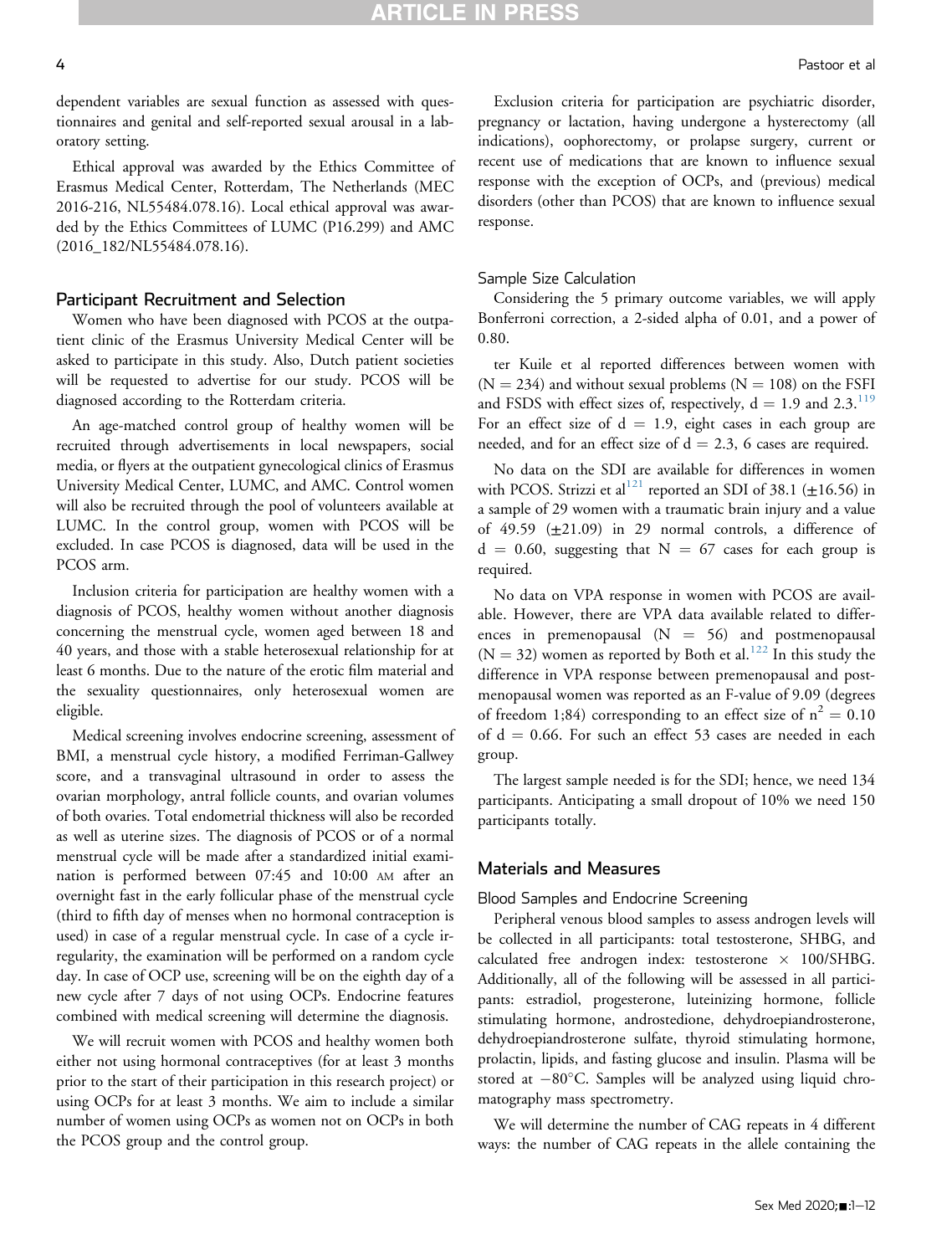dependent variables are sexual function as assessed with questionnaires and genital and self-reported sexual arousal in a laboratory setting.

Ethical approval was awarded by the Ethics Committee of Erasmus Medical Center, Rotterdam, The Netherlands (MEC 2016-216, NL55484.078.16). Local ethical approval was awarded by the Ethics Committees of LUMC (P16.299) and AMC (2016\_182/NL55484.078.16).

#### Participant Recruitment and Selection

Women who have been diagnosed with PCOS at the outpatient clinic of the Erasmus University Medical Center will be asked to participate in this study. Also, Dutch patient societies will be requested to advertise for our study. PCOS will be diagnosed according to the Rotterdam criteria.

An age-matched control group of healthy women will be recruited through advertisements in local newspapers, social media, or flyers at the outpatient gynecological clinics of Erasmus University Medical Center, LUMC, and AMC. Control women will also be recruited through the pool of volunteers available at LUMC. In the control group, women with PCOS will be excluded. In case PCOS is diagnosed, data will be used in the PCOS arm.

Inclusion criteria for participation are healthy women with a diagnosis of PCOS, healthy women without another diagnosis concerning the menstrual cycle, women aged between 18 and 40 years, and those with a stable heterosexual relationship for at least 6 months. Due to the nature of the erotic film material and the sexuality questionnaires, only heterosexual women are eligible.

Medical screening involves endocrine screening, assessment of BMI, a menstrual cycle history, a modified Ferriman-Gallwey score, and a transvaginal ultrasound in order to assess the ovarian morphology, antral follicle counts, and ovarian volumes of both ovaries. Total endometrial thickness will also be recorded as well as uterine sizes. The diagnosis of PCOS or of a normal menstrual cycle will be made after a standardized initial examination is performed between 07:45 and 10:00 AM after an overnight fast in the early follicular phase of the menstrual cycle (third to fifth day of menses when no hormonal contraception is used) in case of a regular menstrual cycle. In case of a cycle irregularity, the examination will be performed on a random cycle day. In case of OCP use, screening will be on the eighth day of a new cycle after 7 days of not using OCPs. Endocrine features combined with medical screening will determine the diagnosis.

We will recruit women with PCOS and healthy women both either not using hormonal contraceptives (for at least 3 months prior to the start of their participation in this research project) or using OCPs for at least 3 months. We aim to include a similar number of women using OCPs as women not on OCPs in both the PCOS group and the control group.

Exclusion criteria for participation are psychiatric disorder, pregnancy or lactation, having undergone a hysterectomy (all indications), oophorectomy, or prolapse surgery, current or recent use of medications that are known to influence sexual response with the exception of OCPs, and (previous) medical disorders (other than PCOS) that are known to influence sexual response.

#### Sample Size Calculation

Considering the 5 primary outcome variables, we will apply Bonferroni correction, a 2-sided alpha of 0.01, and a power of 0.80.

ter Kuile et al reported differences between women with  $(N = 234)$  and without sexual problems  $(N = 108)$  on the FSFI and FSDS with effect sizes of, respectively,  $d = 1.9$  and  $2.3$ .<sup>[119](#page-10-12)</sup> For an effect size of  $d = 1.9$ , eight cases in each group are needed, and for an effect size of  $d = 2.3$ , 6 cases are required.

No data on the SDI are available for differences in women with PCOS. Strizzi et al<sup>[121](#page-11-0)</sup> reported an SDI of 38.1 ( $\pm$ 16.56) in a sample of 29 women with a traumatic brain injury and a value of 49.59  $(\pm 21.09)$  in 29 normal controls, a difference of  $d = 0.60$ , suggesting that  $N = 67$  cases for each group is required.

No data on VPA response in women with PCOS are available. However, there are VPA data available related to differences in premenopausal  $(N = 56)$  and postmenopausal  $(N = 32)$  women as reported by Both et al.<sup>[122](#page-11-1)</sup> In this study the difference in VPA response between premenopausal and postmenopausal women was reported as an F-value of 9.09 (degrees of freedom 1;84) corresponding to an effect size of  $n^2 = 0.10$ of  $d = 0.66$ . For such an effect 53 cases are needed in each group.

The largest sample needed is for the SDI; hence, we need 134 participants. Anticipating a small dropout of 10% we need 150 participants totally.

#### Materials and Measures

Blood Samples and Endocrine Screening

Peripheral venous blood samples to assess androgen levels will be collected in all participants: total testosterone, SHBG, and calculated free androgen index: testosterone  $\times$  100/SHBG. Additionally, all of the following will be assessed in all participants: estradiol, progesterone, luteinizing hormone, follicle stimulating hormone, androstedione, dehydroepiandrosterone, dehydroepiandrosterone sulfate, thyroid stimulating hormone, prolactin, lipids, and fasting glucose and insulin. Plasma will be stored at  $-80^{\circ}$ C. Samples will be analyzed using liquid chromatography mass spectrometry.

We will determine the number of CAG repeats in 4 different ways: the number of CAG repeats in the allele containing the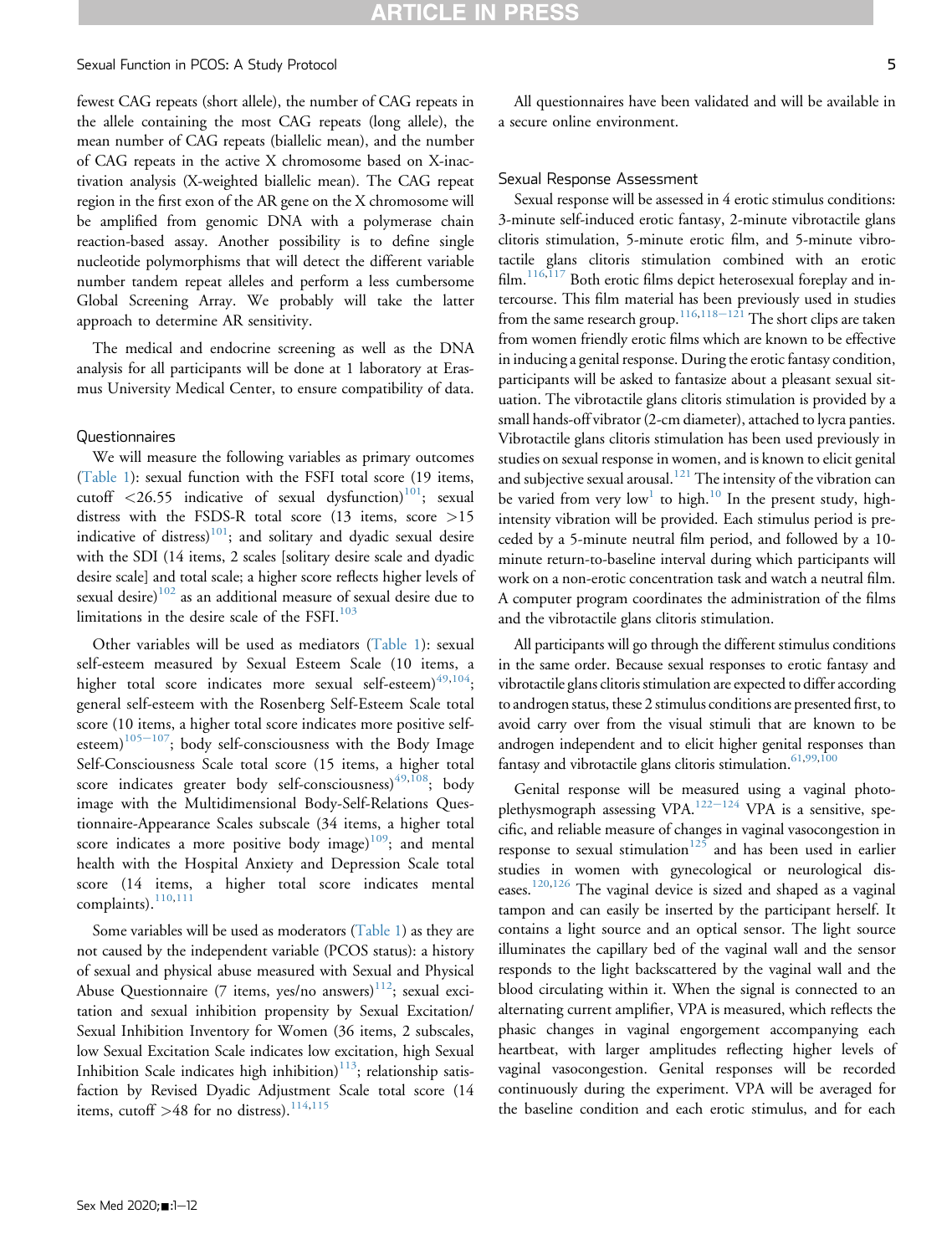fewest CAG repeats (short allele), the number of CAG repeats in the allele containing the most CAG repeats (long allele), the mean number of CAG repeats (biallelic mean), and the number of CAG repeats in the active X chromosome based on X-inactivation analysis (X-weighted biallelic mean). The CAG repeat region in the first exon of the AR gene on the X chromosome will be amplified from genomic DNA with a polymerase chain reaction-based assay. Another possibility is to define single nucleotide polymorphisms that will detect the different variable number tandem repeat alleles and perform a less cumbersome Global Screening Array. We probably will take the latter approach to determine AR sensitivity.

The medical and endocrine screening as well as the DNA analysis for all participants will be done at 1 laboratory at Erasmus University Medical Center, to ensure compatibility of data.

#### Questionnaires

We will measure the following variables as primary outcomes ([Table 1](#page-5-0)): sexual function with the FSFI total score (19 items, cutoff  $\langle 26.55 \rangle$  indicative of sexual dysfunction)<sup>[101](#page-10-13)</sup>; sexual distress with the FSDS-R total score (13 items, score >15 indicative of distress) $101$ ; and solitary and dyadic sexual desire with the SDI (14 items, 2 scales [solitary desire scale and dyadic desire scale] and total scale; a higher score reflects higher levels of sexual desire) $102$  as an additional measure of sexual desire due to limitations in the desire scale of the  $FSH.<sup>103</sup>$  $FSH.<sup>103</sup>$  $FSH.<sup>103</sup>$ 

Other variables will be used as mediators ([Table 1\)](#page-5-0): sexual self-esteem measured by Sexual Esteem Scale (10 items, a higher total score indicates more sexual self-esteem) $^{49,104};$  $^{49,104};$  $^{49,104};$  $^{49,104};$ general self-esteem with the Rosenberg Self-Esteem Scale total score (10 items, a higher total score indicates more positive selfesteem) $105-107$  $105-107$  $105-107$ ; body self-consciousness with the Body Image Self-Consciousness Scale total score (15 items, a higher total score indicates greater body self-consciousness)<sup> $49,108$  $49,108$ </sup>; body image with the Multidimensional Body-Self-Relations Questionnaire-Appearance Scales subscale (34 items, a higher total score indicates a more positive body image) $109$ ; and mental health with the Hospital Anxiety and Depression Scale total score (14 items, a higher total score indicates mental complaints).<sup>[110,](#page-10-20)[111](#page-10-21)</sup>

Some variables will be used as moderators ([Table 1\)](#page-5-0) as they are not caused by the independent variable (PCOS status): a history of sexual and physical abuse measured with Sexual and Physical Abuse Questionnaire (7 items, yes/no answers) $112$ ; sexual excitation and sexual inhibition propensity by Sexual Excitation/ Sexual Inhibition Inventory for Women (36 items, 2 subscales, low Sexual Excitation Scale indicates low excitation, high Sexual Inhibition Scale indicates high inhibition) $113$ ; relationship satisfaction by Revised Dyadic Adjustment Scale total score (14 items, cutoff  $>48$  for no distress).<sup>[114](#page-10-24)[,115](#page-10-25)</sup>

All questionnaires have been validated and will be available in a secure online environment.

#### Sexual Response Assessment

Sexual response will be assessed in 4 erotic stimulus conditions: 3-minute self-induced erotic fantasy, 2-minute vibrotactile glans clitoris stimulation, 5-minute erotic film, and 5-minute vibrotactile glans clitoris stimulation combined with an erotic  $film.$ <sup>[116,](#page-10-26)[117](#page-10-27)</sup> Both erotic films depict heterosexual foreplay and intercourse. This film material has been previously used in studies from the same research group.<sup>[116](#page-10-26),[118](#page-10-28)–[121](#page-10-28)</sup> The short clips are taken from women friendly erotic films which are known to be effective in inducing a genital response. During the erotic fantasy condition, participants will be asked to fantasize about a pleasant sexual situation. The vibrotactile glans clitoris stimulation is provided by a small hands-off vibrator (2-cm diameter), attached to lycra panties. Vibrotactile glans clitoris stimulation has been used previously in studies on sexual response in women, and is known to elicit genital and subjective sexual arousal.<sup>[121](#page-11-0)</sup> The intensity of the vibration can be varied from very low<sup>[1](#page-7-0)</sup> to high.<sup>[10](#page-7-10)</sup> In the present study, highintensity vibration will be provided. Each stimulus period is preceded by a 5-minute neutral film period, and followed by a 10 minute return-to-baseline interval during which participants will work on a non-erotic concentration task and watch a neutral film. A computer program coordinates the administration of the films and the vibrotactile glans clitoris stimulation.

All participants will go through the different stimulus conditions in the same order. Because sexual responses to erotic fantasy and vibrotactile glans clitoris stimulation are expected to differ according to androgen status, these 2 stimulus conditions are presented first, to avoid carry over from the visual stimuli that are known to be androgen independent and to elicit higher genital responses than fantasy and vibrotactile glans clitoris stimulation.  $61,99,100$  $61,99,100$  $61,99,100$ 

Genital response will be measured using a vaginal photo-plethysmograph assessing VPA.<sup>[122](#page-11-1)-[124](#page-11-1)</sup> VPA is a sensitive, specific, and reliable measure of changes in vaginal vasocongestion in response to sexual stimulation<sup>[125](#page-11-2)</sup> and has been used in earlier studies in women with gynecological or neurological dis-eases.<sup>[120,](#page-11-3)[126](#page-11-4)</sup> The vaginal device is sized and shaped as a vaginal tampon and can easily be inserted by the participant herself. It contains a light source and an optical sensor. The light source illuminates the capillary bed of the vaginal wall and the sensor responds to the light backscattered by the vaginal wall and the blood circulating within it. When the signal is connected to an alternating current amplifier, VPA is measured, which reflects the phasic changes in vaginal engorgement accompanying each heartbeat, with larger amplitudes reflecting higher levels of vaginal vasocongestion. Genital responses will be recorded continuously during the experiment. VPA will be averaged for the baseline condition and each erotic stimulus, and for each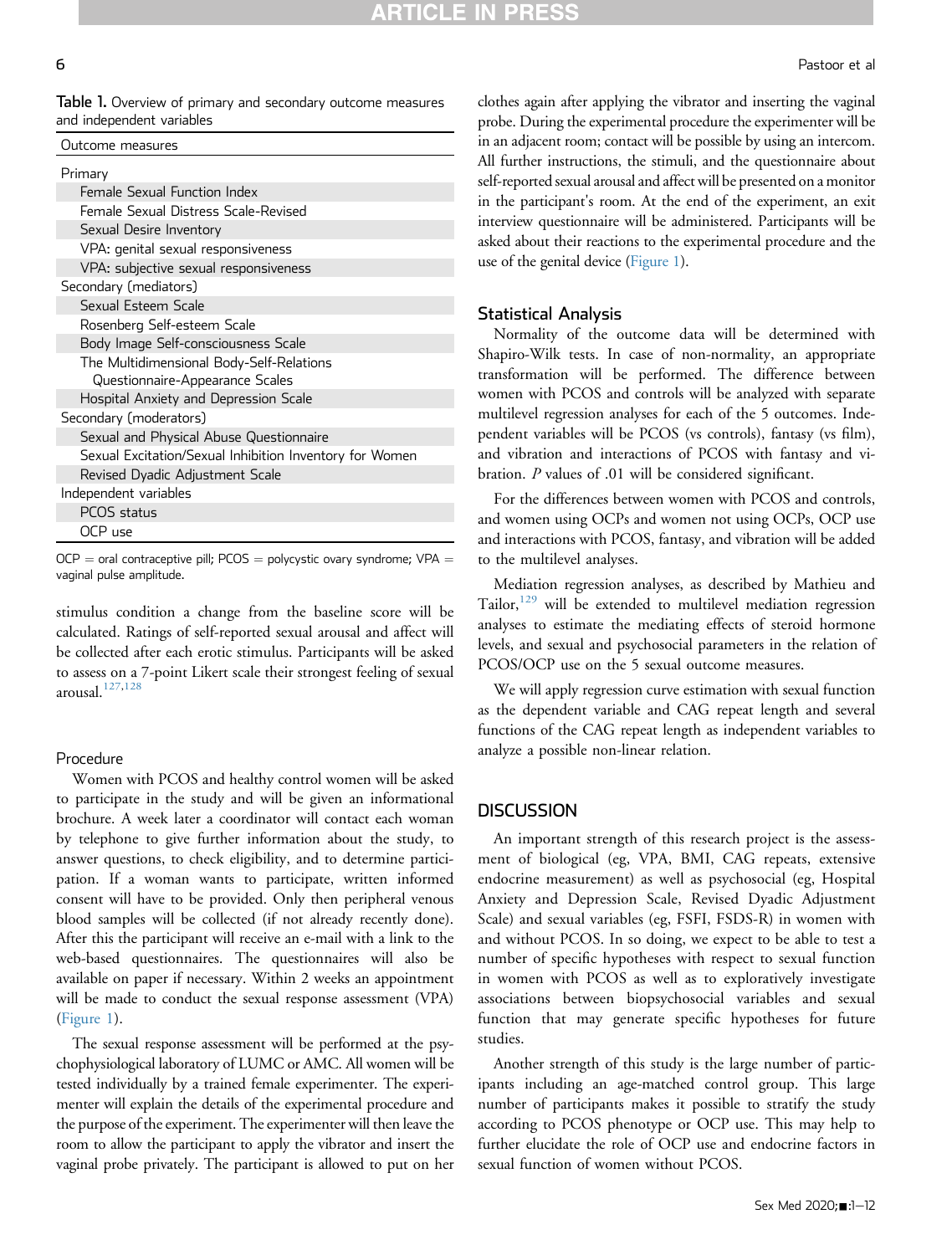<span id="page-5-0"></span>Table 1. Overview of primary and secondary outcome measures and independent variables

| Primary                                                 |
|---------------------------------------------------------|
| Female Sexual Function Index                            |
| Female Sexual Distress Scale-Revised                    |
| Sexual Desire Inventory                                 |
| VPA: genital sexual responsiveness                      |
| VPA: subjective sexual responsiveness                   |
| Secondary (mediators)                                   |
| Sexual Esteem Scale                                     |
| Rosenberg Self-esteem Scale                             |
| Body Image Self-consciousness Scale                     |
| The Multidimensional Body-Self-Relations                |
| Questionnaire-Appearance Scales                         |
| Hospital Anxiety and Depression Scale                   |
| Secondary (moderators)                                  |
| Sexual and Physical Abuse Questionnaire                 |
| Sexual Excitation/Sexual Inhibition Inventory for Women |
| Revised Dyadic Adjustment Scale                         |
| Independent variables                                   |
| PCOS status                                             |
| OCP use                                                 |
|                                                         |

 $OCP =$  oral contraceptive pill; PCOS = polycystic ovary syndrome; VPA = vaginal pulse amplitude.

stimulus condition a change from the baseline score will be calculated. Ratings of self-reported sexual arousal and affect will be collected after each erotic stimulus. Participants will be asked to assess on a 7-point Likert scale their strongest feeling of sexual arousal.[127](#page-11-5)[,128](#page-11-6)

#### Procedure

Women with PCOS and healthy control women will be asked to participate in the study and will be given an informational brochure. A week later a coordinator will contact each woman by telephone to give further information about the study, to answer questions, to check eligibility, and to determine participation. If a woman wants to participate, written informed consent will have to be provided. Only then peripheral venous blood samples will be collected (if not already recently done). After this the participant will receive an e-mail with a link to the web-based questionnaires. The questionnaires will also be available on paper if necessary. Within 2 weeks an appointment will be made to conduct the sexual response assessment (VPA) [\(Figure 1](#page-6-0)).

The sexual response assessment will be performed at the psychophysiological laboratory of LUMC or AMC. All women will be tested individually by a trained female experimenter. The experimenter will explain the details of the experimental procedure and the purpose of the experiment. The experimenter will then leave the room to allow the participant to apply the vibrator and insert the vaginal probe privately. The participant is allowed to put on her

clothes again after applying the vibrator and inserting the vaginal probe. During the experimental procedure the experimenter will be in an adjacent room; contact will be possible by using an intercom. All further instructions, the stimuli, and the questionnaire about self-reported sexual arousal and affect will be presented on a monitor in the participant's room. At the end of the experiment, an exit interview questionnaire will be administered. Participants will be asked about their reactions to the experimental procedure and the use of the genital device [\(Figure 1\)](#page-6-0).

#### Statistical Analysis

Normality of the outcome data will be determined with Shapiro-Wilk tests. In case of non-normality, an appropriate transformation will be performed. The difference between women with PCOS and controls will be analyzed with separate multilevel regression analyses for each of the 5 outcomes. Independent variables will be PCOS (vs controls), fantasy (vs film), and vibration and interactions of PCOS with fantasy and vibration. P values of .01 will be considered significant.

For the differences between women with PCOS and controls, and women using OCPs and women not using OCPs, OCP use and interactions with PCOS, fantasy, and vibration will be added to the multilevel analyses.

Mediation regression analyses, as described by Mathieu and Tailor,<sup>[129](#page-11-7)</sup> will be extended to multilevel mediation regression analyses to estimate the mediating effects of steroid hormone levels, and sexual and psychosocial parameters in the relation of PCOS/OCP use on the 5 sexual outcome measures.

We will apply regression curve estimation with sexual function as the dependent variable and CAG repeat length and several functions of the CAG repeat length as independent variables to analyze a possible non-linear relation.

#### **DISCUSSION**

An important strength of this research project is the assessment of biological (eg, VPA, BMI, CAG repeats, extensive endocrine measurement) as well as psychosocial (eg, Hospital Anxiety and Depression Scale, Revised Dyadic Adjustment Scale) and sexual variables (eg, FSFI, FSDS-R) in women with and without PCOS. In so doing, we expect to be able to test a number of specific hypotheses with respect to sexual function in women with PCOS as well as to exploratively investigate associations between biopsychosocial variables and sexual function that may generate specific hypotheses for future studies.

Another strength of this study is the large number of participants including an age-matched control group. This large number of participants makes it possible to stratify the study according to PCOS phenotype or OCP use. This may help to further elucidate the role of OCP use and endocrine factors in sexual function of women without PCOS.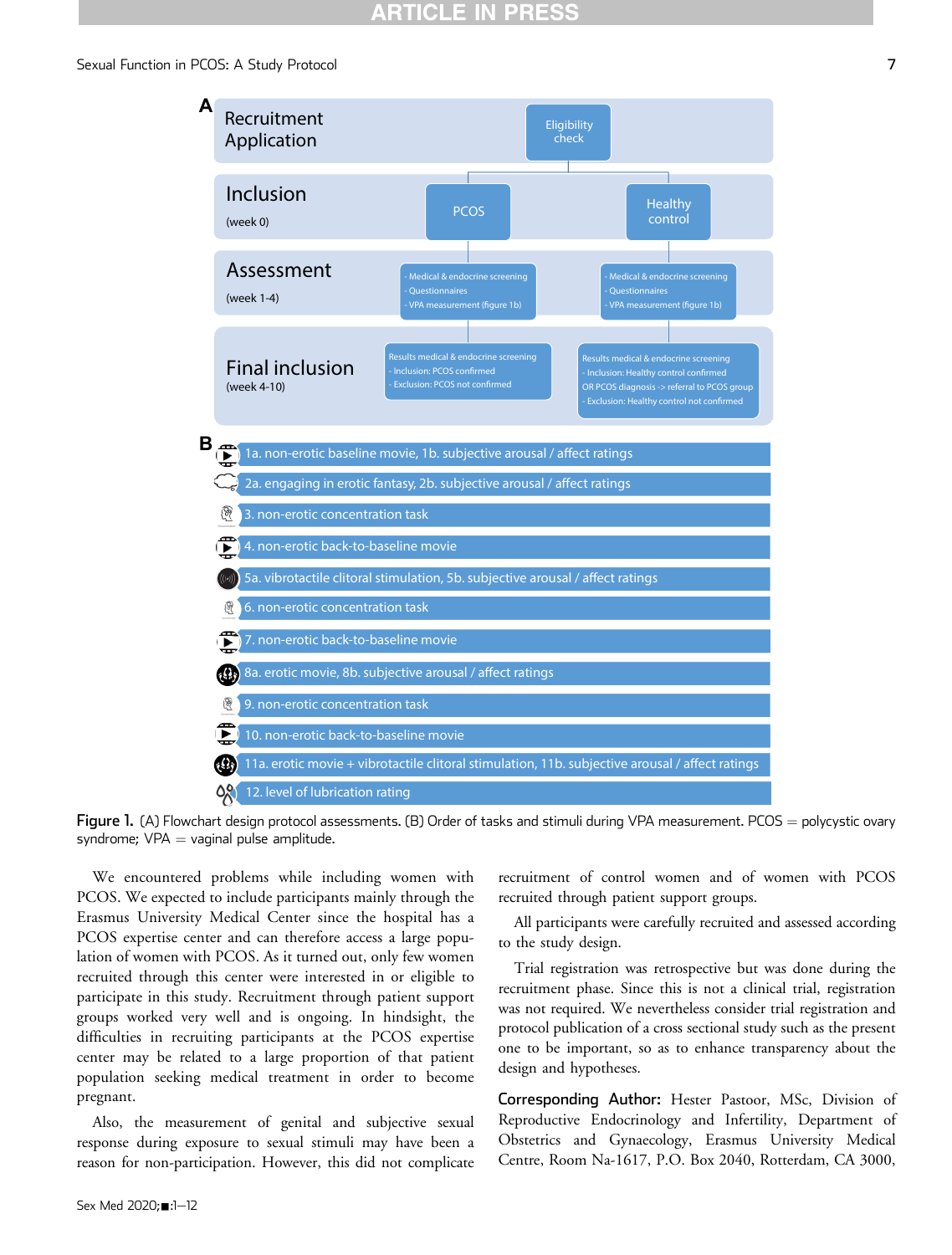<span id="page-6-0"></span>

Figure 1. (A) Flowchart design protocol assessments. (B) Order of tasks and stimuli during VPA measurement. PCOS = polycystic ovary syndrome;  $VPA =$  vaginal pulse amplitude.

We encountered problems while including women with PCOS. We expected to include participants mainly through the Erasmus University Medical Center since the hospital has a PCOS expertise center and can therefore access a large population of women with PCOS. As it turned out, only few women recruited through this center were interested in or eligible to participate in this study. Recruitment through patient support groups worked very well and is ongoing. In hindsight, the difficulties in recruiting participants at the PCOS expertise center may be related to a large proportion of that patient population seeking medical treatment in order to become pregnant.

Also, the measurement of genital and subjective sexual response during exposure to sexual stimuli may have been a reason for non-participation. However, this did not complicate recruitment of control women and of women with PCOS recruited through patient support groups.

All participants were carefully recruited and assessed according to the study design.

Trial registration was retrospective but was done during the recruitment phase. Since this is not a clinical trial, registration was not required. We nevertheless consider trial registration and protocol publication of a cross sectional study such as the present one to be important, so as to enhance transparency about the design and hypotheses.

Corresponding Author: Hester Pastoor, MSc, Division of Reproductive Endocrinology and Infertility, Department of Obstetrics and Gynaecology, Erasmus University Medical Centre, Room Na-1617, P.O. Box 2040, Rotterdam, CA 3000,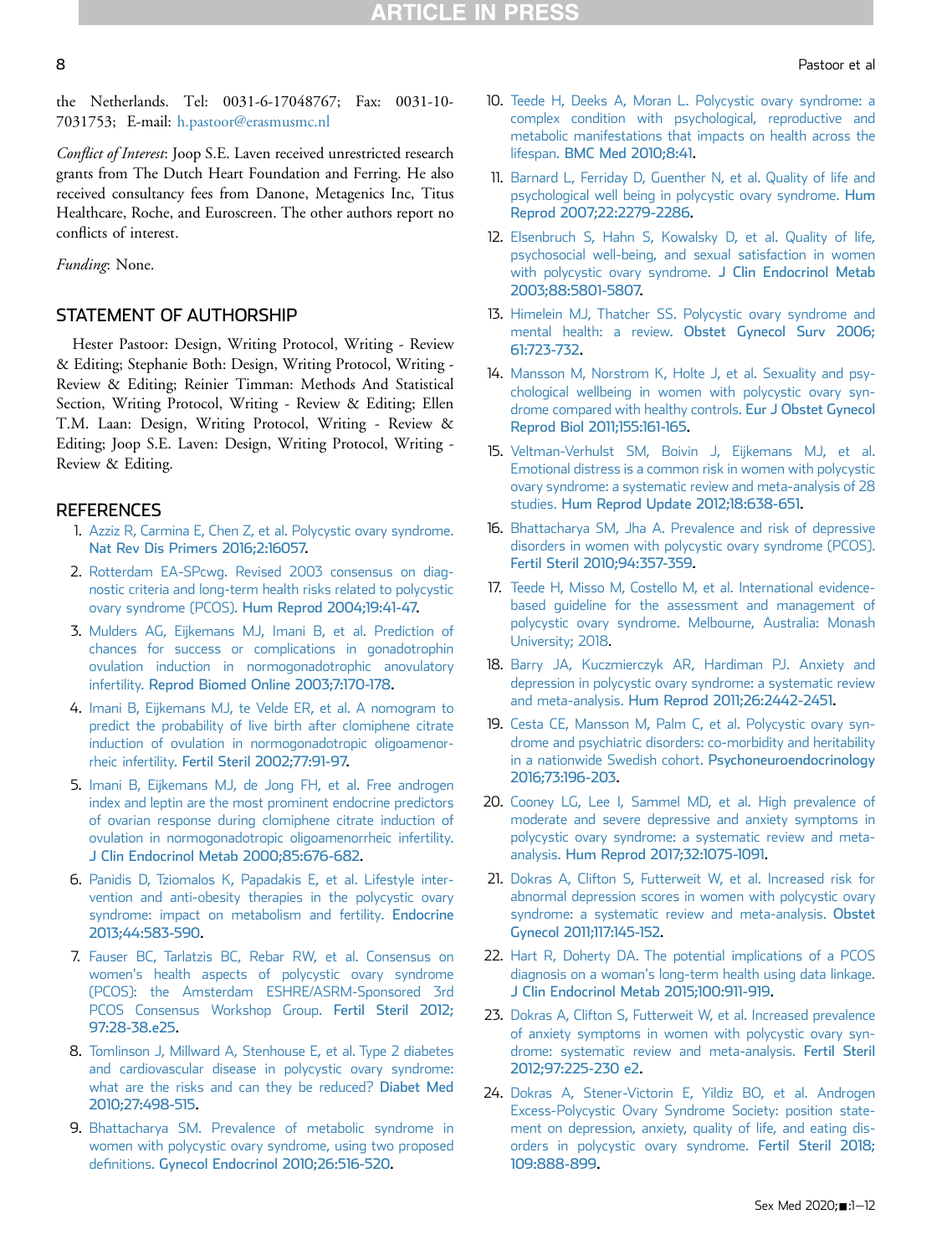the Netherlands. Tel: 0031-6-17048767; Fax: 0031-10- 7031753; E-mail: [h.pastoor@erasmusmc.nl](mailto:h.pastoor@erasmusmc.nl)

Conflict of Interest: Joop S.E. Laven received unrestricted research grants from The Dutch Heart Foundation and Ferring. He also received consultancy fees from Danone, Metagenics Inc, Titus Healthcare, Roche, and Euroscreen. The other authors report no conflicts of interest.

Funding: None.

# STATEMENT OF AUTHORSHIP

Hester Pastoor: Design, Writing Protocol, Writing - Review & Editing; Stephanie Both: Design, Writing Protocol, Writing - Review & Editing; Reinier Timman: Methods And Statistical Section, Writing Protocol, Writing - Review & Editing; Ellen T.M. Laan: Design, Writing Protocol, Writing - Review & Editing; Joop S.E. Laven: Design, Writing Protocol, Writing - Review & Editing.

## <span id="page-7-0"></span>**REFERENCES**

- 1. [Azziz R, Carmina E, Chen Z, et al. Polycystic ovary syndrome.](http://refhub.elsevier.com/S2050-1161(20)30090-8/sref1) [Nat Rev Dis Primers 2016;2:16057.](http://refhub.elsevier.com/S2050-1161(20)30090-8/sref1)
- <span id="page-7-1"></span>2. [Rotterdam EA-SPcwg. Revised 2003 consensus on diag](http://refhub.elsevier.com/S2050-1161(20)30090-8/sref2)[nostic criteria and long-term health risks related to polycystic](http://refhub.elsevier.com/S2050-1161(20)30090-8/sref2) ovary syndrome (PCOS). [Hum Reprod 2004;19:41-47.](http://refhub.elsevier.com/S2050-1161(20)30090-8/sref2)
- <span id="page-7-2"></span>3. [Mulders AG, Eijkemans MJ, Imani B, et al. Prediction of](http://refhub.elsevier.com/S2050-1161(20)30090-8/sref3) [chances for success or complications in gonadotrophin](http://refhub.elsevier.com/S2050-1161(20)30090-8/sref3) [ovulation induction in normogonadotrophic anovulatory](http://refhub.elsevier.com/S2050-1161(20)30090-8/sref3) infertility. [Reprod Biomed Online 2003;7:170-178.](http://refhub.elsevier.com/S2050-1161(20)30090-8/sref3)
- 4. [Imani B, Eijkemans MJ, te Velde ER, et al. A nomogram to](http://refhub.elsevier.com/S2050-1161(20)30090-8/sref4) [predict the probability of live birth after clomiphene citrate](http://refhub.elsevier.com/S2050-1161(20)30090-8/sref4) [induction of ovulation in normogonadotropic oligoamenor](http://refhub.elsevier.com/S2050-1161(20)30090-8/sref4)rheic infertility. [Fertil Steril 2002;77:91-97.](http://refhub.elsevier.com/S2050-1161(20)30090-8/sref4)
- 5. [Imani B, Eijkemans MJ, de Jong FH, et al. Free androgen](http://refhub.elsevier.com/S2050-1161(20)30090-8/sref5) [index and leptin are the most prominent endocrine predictors](http://refhub.elsevier.com/S2050-1161(20)30090-8/sref5) [of ovarian response during clomiphene citrate induction of](http://refhub.elsevier.com/S2050-1161(20)30090-8/sref5) [ovulation in normogonadotropic oligoamenorrheic infertility.](http://refhub.elsevier.com/S2050-1161(20)30090-8/sref5) [J Clin Endocrinol Metab 2000;85:676-682](http://refhub.elsevier.com/S2050-1161(20)30090-8/sref5).
- 6. [Panidis D, Tziomalos K, Papadakis E, et al. Lifestyle inter](http://refhub.elsevier.com/S2050-1161(20)30090-8/sref6)[vention and anti-obesity therapies in the polycystic ovary](http://refhub.elsevier.com/S2050-1161(20)30090-8/sref6) [syndrome: impact on metabolism and fertility.](http://refhub.elsevier.com/S2050-1161(20)30090-8/sref6) Endocrine [2013;44:583-590.](http://refhub.elsevier.com/S2050-1161(20)30090-8/sref6)
- <span id="page-7-3"></span>7. [Fauser BC, Tarlatzis BC, Rebar RW, et al. Consensus on](http://refhub.elsevier.com/S2050-1161(20)30090-8/sref7) [women's health aspects of polycystic ovary syndrome](http://refhub.elsevier.com/S2050-1161(20)30090-8/sref7) [\(PCOS\): the Amsterdam ESHRE/ASRM-Sponsored 3rd](http://refhub.elsevier.com/S2050-1161(20)30090-8/sref7) [PCOS Consensus Workshop Group.](http://refhub.elsevier.com/S2050-1161(20)30090-8/sref7) Fertil Steril 2012; [97:28-38.e25](http://refhub.elsevier.com/S2050-1161(20)30090-8/sref7).
- 8. [Tomlinson J, Millward A, Stenhouse E, et al. Type 2 diabetes](http://refhub.elsevier.com/S2050-1161(20)30090-8/sref8) [and cardiovascular disease in polycystic ovary syndrome:](http://refhub.elsevier.com/S2050-1161(20)30090-8/sref8) [what are the risks and can they be reduced?](http://refhub.elsevier.com/S2050-1161(20)30090-8/sref8) Diabet Med [2010;27:498-515.](http://refhub.elsevier.com/S2050-1161(20)30090-8/sref8)
- <span id="page-7-4"></span>9. [Bhattacharya SM. Prevalence of metabolic syndrome in](http://refhub.elsevier.com/S2050-1161(20)30090-8/sref9) [women with polycystic ovary syndrome, using two proposed](http://refhub.elsevier.com/S2050-1161(20)30090-8/sref9) definitions. [Gynecol Endocrinol 2010;26:516-520](http://refhub.elsevier.com/S2050-1161(20)30090-8/sref9).
- <span id="page-7-10"></span>10. [Teede H, Deeks A, Moran L. Polycystic ovary syndrome: a](http://refhub.elsevier.com/S2050-1161(20)30090-8/sref10) [complex condition with psychological, reproductive and](http://refhub.elsevier.com/S2050-1161(20)30090-8/sref10) [metabolic manifestations that impacts on health across the](http://refhub.elsevier.com/S2050-1161(20)30090-8/sref10) lifespan. [BMC Med 2010;8:41](http://refhub.elsevier.com/S2050-1161(20)30090-8/sref10).
- <span id="page-7-5"></span>11. [Barnard L, Ferriday D, Guenther N, et al. Quality of life and](http://refhub.elsevier.com/S2050-1161(20)30090-8/sref11) [psychological well being in polycystic ovary syndrome.](http://refhub.elsevier.com/S2050-1161(20)30090-8/sref11) Hum [Reprod 2007;22:2279-2286](http://refhub.elsevier.com/S2050-1161(20)30090-8/sref11).
- 12. [Elsenbruch S, Hahn S, Kowalsky D, et al. Quality of life,](http://refhub.elsevier.com/S2050-1161(20)30090-8/sref12) [psychosocial well-being, and sexual satisfaction in women](http://refhub.elsevier.com/S2050-1161(20)30090-8/sref12) [with polycystic ovary syndrome.](http://refhub.elsevier.com/S2050-1161(20)30090-8/sref12) J Clin Endocrinol Metab [2003;88:5801-5807.](http://refhub.elsevier.com/S2050-1161(20)30090-8/sref12)
- 13. [Himelein MJ, Thatcher SS. Polycystic ovary syndrome and](http://refhub.elsevier.com/S2050-1161(20)30090-8/sref13) mental health: a review. [Obstet Gynecol Surv 2006;](http://refhub.elsevier.com/S2050-1161(20)30090-8/sref13) [61:723-732.](http://refhub.elsevier.com/S2050-1161(20)30090-8/sref13)
- 14. [Mansson M, Norstrom K, Holte J, et al. Sexuality and psy](http://refhub.elsevier.com/S2050-1161(20)30090-8/sref14)[chological wellbeing in women with polycystic ovary syn](http://refhub.elsevier.com/S2050-1161(20)30090-8/sref14)[drome compared with healthy controls.](http://refhub.elsevier.com/S2050-1161(20)30090-8/sref14) Eur J Obstet Gynecol [Reprod Biol 2011;155:161-165](http://refhub.elsevier.com/S2050-1161(20)30090-8/sref14).
- <span id="page-7-7"></span>15. [Veltman-Verhulst SM, Boivin J, Eijkemans MJ, et al.](http://refhub.elsevier.com/S2050-1161(20)30090-8/sref15) [Emotional distress is a common risk in women with polycystic](http://refhub.elsevier.com/S2050-1161(20)30090-8/sref15) [ovary syndrome: a systematic review and meta-analysis of 28](http://refhub.elsevier.com/S2050-1161(20)30090-8/sref15) studies. [Hum Reprod Update 2012;18:638-651](http://refhub.elsevier.com/S2050-1161(20)30090-8/sref15).
- 16. [Bhattacharya SM, Jha A. Prevalence and risk of depressive](http://refhub.elsevier.com/S2050-1161(20)30090-8/sref16) [disorders in women with polycystic ovary syndrome \(PCOS\).](http://refhub.elsevier.com/S2050-1161(20)30090-8/sref16) [Fertil Steril 2010;94:357-359.](http://refhub.elsevier.com/S2050-1161(20)30090-8/sref16)
- <span id="page-7-6"></span>17. [Teede H, Misso M, Costello M, et al. International evidence](http://refhub.elsevier.com/S2050-1161(20)30090-8/sref17)[based guideline for the assessment and management of](http://refhub.elsevier.com/S2050-1161(20)30090-8/sref17) [polycystic ovary syndrome. Melbourne, Australia: Monash](http://refhub.elsevier.com/S2050-1161(20)30090-8/sref17) [University; 2018.](http://refhub.elsevier.com/S2050-1161(20)30090-8/sref17)
- <span id="page-7-8"></span>18. [Barry JA, Kuczmierczyk AR, Hardiman PJ. Anxiety and](http://refhub.elsevier.com/S2050-1161(20)30090-8/sref18) [depression in polycystic ovary syndrome: a systematic review](http://refhub.elsevier.com/S2050-1161(20)30090-8/sref18) and meta-analysis. [Hum Reprod 2011;26:2442-2451](http://refhub.elsevier.com/S2050-1161(20)30090-8/sref18).
- <span id="page-7-9"></span>19. [Cesta CE, Mansson M, Palm C, et al. Polycystic ovary syn](http://refhub.elsevier.com/S2050-1161(20)30090-8/sref19)[drome and psychiatric disorders: co-morbidity and heritability](http://refhub.elsevier.com/S2050-1161(20)30090-8/sref19) [in a nationwide Swedish cohort.](http://refhub.elsevier.com/S2050-1161(20)30090-8/sref19) Psychoneuroendocrinology [2016;73:196-203](http://refhub.elsevier.com/S2050-1161(20)30090-8/sref19).
- 20. [Cooney LG, Lee I, Sammel MD, et al. High prevalence of](http://refhub.elsevier.com/S2050-1161(20)30090-8/sref20) [moderate and severe depressive and anxiety symptoms in](http://refhub.elsevier.com/S2050-1161(20)30090-8/sref20) [polycystic ovary syndrome: a systematic review and meta](http://refhub.elsevier.com/S2050-1161(20)30090-8/sref20)analysis. [Hum Reprod 2017;32:1075-1091.](http://refhub.elsevier.com/S2050-1161(20)30090-8/sref20)
- 21. [Dokras A, Clifton S, Futterweit W, et al. Increased risk for](http://refhub.elsevier.com/S2050-1161(20)30090-8/sref21) [abnormal depression scores in women with polycystic ovary](http://refhub.elsevier.com/S2050-1161(20)30090-8/sref21) [syndrome: a systematic review and meta-analysis.](http://refhub.elsevier.com/S2050-1161(20)30090-8/sref21) Obstet [Gynecol 2011;117:145-152.](http://refhub.elsevier.com/S2050-1161(20)30090-8/sref21)
- 22. [Hart R, Doherty DA. The potential implications of a PCOS](http://refhub.elsevier.com/S2050-1161(20)30090-8/sref22) [diagnosis on a woman's long-term health using data linkage.](http://refhub.elsevier.com/S2050-1161(20)30090-8/sref22) [J Clin Endocrinol Metab 2015;100:911-919.](http://refhub.elsevier.com/S2050-1161(20)30090-8/sref22)
- 23. [Dokras A, Clifton S, Futterweit W, et al. Increased prevalence](http://refhub.elsevier.com/S2050-1161(20)30090-8/sref23) [of anxiety symptoms in women with polycystic ovary syn](http://refhub.elsevier.com/S2050-1161(20)30090-8/sref23)[drome: systematic review and meta-analysis.](http://refhub.elsevier.com/S2050-1161(20)30090-8/sref23) Fertil Steril [2012;97:225-230 e2.](http://refhub.elsevier.com/S2050-1161(20)30090-8/sref23)
- 24. [Dokras A, Stener-Victorin E, Yildiz BO, et al. Androgen](http://refhub.elsevier.com/S2050-1161(20)30090-8/sref24) [Excess-Polycystic Ovary Syndrome Society: position state](http://refhub.elsevier.com/S2050-1161(20)30090-8/sref24)[ment on depression, anxiety, quality of life, and eating dis](http://refhub.elsevier.com/S2050-1161(20)30090-8/sref24)[orders in polycystic ovary syndrome.](http://refhub.elsevier.com/S2050-1161(20)30090-8/sref24) Fertil Steril 2018; [109:888-899](http://refhub.elsevier.com/S2050-1161(20)30090-8/sref24).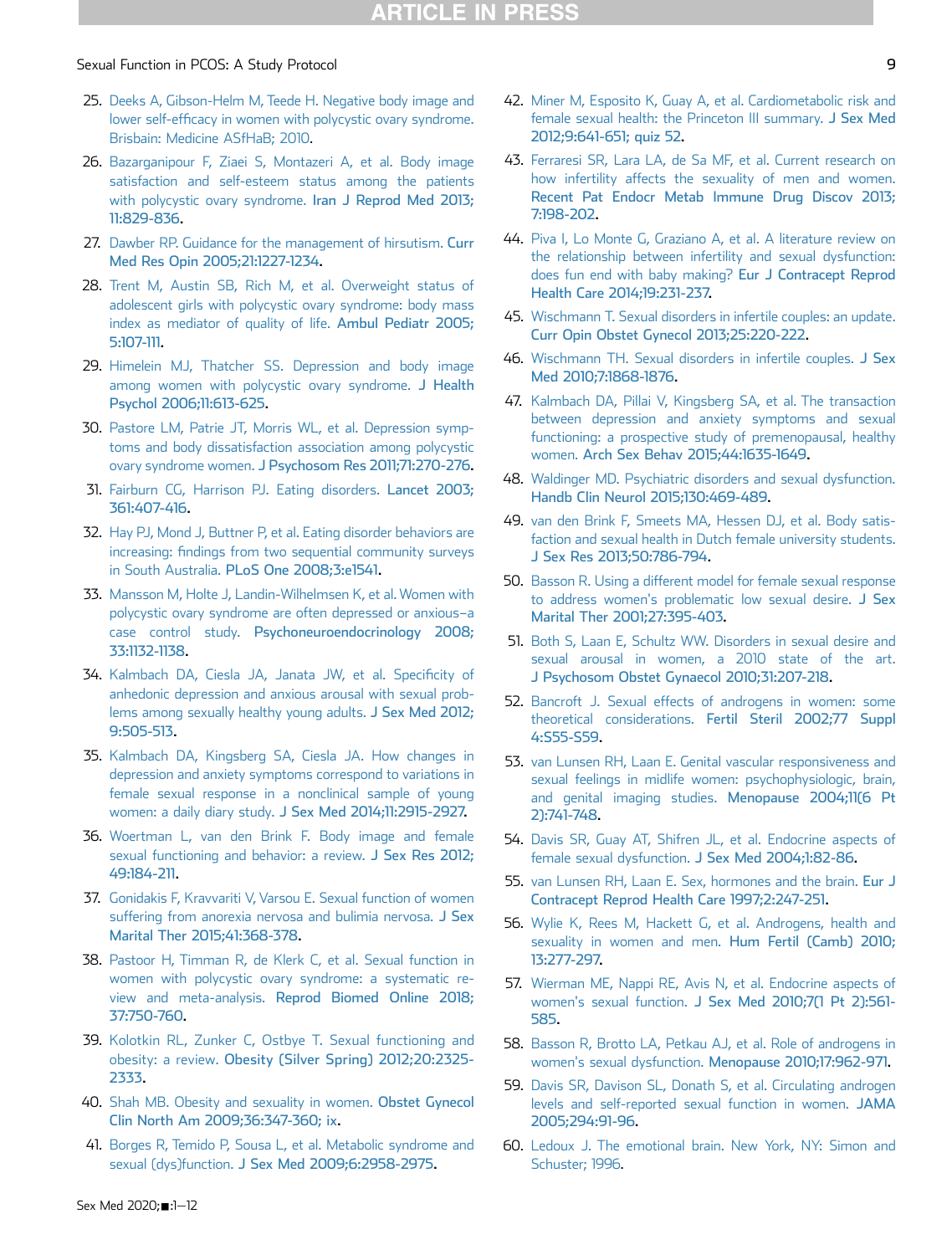- <span id="page-8-0"></span>25. [Deeks A, Gibson-Helm M, Teede H. Negative body image and](http://refhub.elsevier.com/S2050-1161(20)30090-8/sref25) lower self-effi[cacy in women with polycystic ovary syndrome.](http://refhub.elsevier.com/S2050-1161(20)30090-8/sref25) [Brisbain: Medicine ASfHaB; 2010](http://refhub.elsevier.com/S2050-1161(20)30090-8/sref25).
- <span id="page-8-1"></span>26. [Bazarganipour F, Ziaei S, Montazeri A, et al. Body image](http://refhub.elsevier.com/S2050-1161(20)30090-8/sref26) [satisfaction and self-esteem status among the patients](http://refhub.elsevier.com/S2050-1161(20)30090-8/sref26) [with polycystic ovary syndrome.](http://refhub.elsevier.com/S2050-1161(20)30090-8/sref26) Iran J Reprod Med 2013; [11:829-836](http://refhub.elsevier.com/S2050-1161(20)30090-8/sref26).
- <span id="page-8-2"></span>27. [Dawber RP. Guidance for the management of hirsutism.](http://refhub.elsevier.com/S2050-1161(20)30090-8/sref27) Curr [Med Res Opin 2005;21:1227-1234](http://refhub.elsevier.com/S2050-1161(20)30090-8/sref27).
- <span id="page-8-3"></span>28. [Trent M, Austin SB, Rich M, et al. Overweight status of](http://refhub.elsevier.com/S2050-1161(20)30090-8/sref28) [adolescent girls with polycystic ovary syndrome: body mass](http://refhub.elsevier.com/S2050-1161(20)30090-8/sref28) [index as mediator of quality of life.](http://refhub.elsevier.com/S2050-1161(20)30090-8/sref28) Ambul Pediatr 2005; [5:107-111](http://refhub.elsevier.com/S2050-1161(20)30090-8/sref28).
- <span id="page-8-4"></span>29. [Himelein MJ, Thatcher SS. Depression and body image](http://refhub.elsevier.com/S2050-1161(20)30090-8/sref29) [among women with polycystic ovary syndrome.](http://refhub.elsevier.com/S2050-1161(20)30090-8/sref29) J Health [Psychol 2006;11:613-625](http://refhub.elsevier.com/S2050-1161(20)30090-8/sref29).
- <span id="page-8-5"></span>30. [Pastore LM, Patrie JT, Morris WL, et al. Depression symp](http://refhub.elsevier.com/S2050-1161(20)30090-8/sref30)[toms and body dissatisfaction association among polycystic](http://refhub.elsevier.com/S2050-1161(20)30090-8/sref30) ovary syndrome women. [J Psychosom Res 2011;71:270-276](http://refhub.elsevier.com/S2050-1161(20)30090-8/sref30).
- <span id="page-8-6"></span>31. [Fairburn CG, Harrison PJ. Eating disorders.](http://refhub.elsevier.com/S2050-1161(20)30090-8/sref31) Lancet 2003; [361:407-416.](http://refhub.elsevier.com/S2050-1161(20)30090-8/sref31)
- 32. [Hay PJ, Mond J, Buttner P, et al. Eating disorder behaviors are](http://refhub.elsevier.com/S2050-1161(20)30090-8/sref32) increasing: fi[ndings from two sequential community surveys](http://refhub.elsevier.com/S2050-1161(20)30090-8/sref32) in South Australia. [PLoS One 2008;3:e1541.](http://refhub.elsevier.com/S2050-1161(20)30090-8/sref32)
- 33. [Mansson M, Holte J, Landin-Wilhelmsen K, et al. Women with](http://refhub.elsevier.com/S2050-1161(20)30090-8/sref33) [polycystic ovary syndrome are often depressed or anxious](http://refhub.elsevier.com/S2050-1161(20)30090-8/sref33)–a case control study. [Psychoneuroendocrinology 2008;](http://refhub.elsevier.com/S2050-1161(20)30090-8/sref33) [33:1132-1138](http://refhub.elsevier.com/S2050-1161(20)30090-8/sref33).
- <span id="page-8-7"></span>34. [Kalmbach DA, Ciesla JA, Janata JW, et al. Speci](http://refhub.elsevier.com/S2050-1161(20)30090-8/sref34)ficity of [anhedonic depression and anxious arousal with sexual prob](http://refhub.elsevier.com/S2050-1161(20)30090-8/sref34)[lems among sexually healthy young adults.](http://refhub.elsevier.com/S2050-1161(20)30090-8/sref34) J Sex Med 2012; [9:505-513](http://refhub.elsevier.com/S2050-1161(20)30090-8/sref34).
- <span id="page-8-8"></span>35. [Kalmbach DA, Kingsberg SA, Ciesla JA. How changes in](http://refhub.elsevier.com/S2050-1161(20)30090-8/sref35) [depression and anxiety symptoms correspond to variations in](http://refhub.elsevier.com/S2050-1161(20)30090-8/sref35) [female sexual response in a nonclinical sample of young](http://refhub.elsevier.com/S2050-1161(20)30090-8/sref35) women: a daily diary study. [J Sex Med 2014;11:2915-2927.](http://refhub.elsevier.com/S2050-1161(20)30090-8/sref35)
- <span id="page-8-10"></span><span id="page-8-9"></span>36. [Woertman L, van den Brink F. Body image and female](http://refhub.elsevier.com/S2050-1161(20)30090-8/sref36) [sexual functioning and behavior: a review.](http://refhub.elsevier.com/S2050-1161(20)30090-8/sref36) J Sex Res 2012; [49:184-211](http://refhub.elsevier.com/S2050-1161(20)30090-8/sref36).
- <span id="page-8-11"></span>37. [Gonidakis F, Kravvariti V, Varsou E. Sexual function of women](http://refhub.elsevier.com/S2050-1161(20)30090-8/sref37) [suffering from anorexia nervosa and bulimia nervosa.](http://refhub.elsevier.com/S2050-1161(20)30090-8/sref37) J Sex [Marital Ther 2015;41:368-378.](http://refhub.elsevier.com/S2050-1161(20)30090-8/sref37)
- <span id="page-8-12"></span>38. [Pastoor H, Timman R, de Klerk C, et al. Sexual function in](http://refhub.elsevier.com/S2050-1161(20)30090-8/sref38) [women with polycystic ovary syndrome: a systematic re](http://refhub.elsevier.com/S2050-1161(20)30090-8/sref38)view and meta-analysis. [Reprod Biomed Online 2018;](http://refhub.elsevier.com/S2050-1161(20)30090-8/sref38) [37:750-760](http://refhub.elsevier.com/S2050-1161(20)30090-8/sref38).
- 39. [Kolotkin RL, Zunker C, Ostbye T. Sexual functioning and](http://refhub.elsevier.com/S2050-1161(20)30090-8/sref39) obesity: a review. [Obesity \(Silver Spring\) 2012;20:2325-](http://refhub.elsevier.com/S2050-1161(20)30090-8/sref39) [2333.](http://refhub.elsevier.com/S2050-1161(20)30090-8/sref39)
- 40. [Shah MB. Obesity and sexuality in women.](http://refhub.elsevier.com/S2050-1161(20)30090-8/sref40) Obstet Gynecol [Clin North Am 2009;36:347-360; ix](http://refhub.elsevier.com/S2050-1161(20)30090-8/sref40).
- 41. [Borges R, Temido P, Sousa L, et al. Metabolic syndrome and](http://refhub.elsevier.com/S2050-1161(20)30090-8/sref41) sexual (dys)function. [J Sex Med 2009;6:2958-2975](http://refhub.elsevier.com/S2050-1161(20)30090-8/sref41).
- 42. [Miner M, Esposito K, Guay A, et al. Cardiometabolic risk and](http://refhub.elsevier.com/S2050-1161(20)30090-8/sref42) [female sexual health: the Princeton III summary.](http://refhub.elsevier.com/S2050-1161(20)30090-8/sref42) J Sex Med [2012;9:641-651; quiz 52.](http://refhub.elsevier.com/S2050-1161(20)30090-8/sref42)
- 43. [Ferraresi SR, Lara LA, de Sa MF, et al. Current research on](http://refhub.elsevier.com/S2050-1161(20)30090-8/sref43) [how infertility affects the sexuality of men and women.](http://refhub.elsevier.com/S2050-1161(20)30090-8/sref43) [Recent Pat Endocr Metab Immune Drug Discov 2013;](http://refhub.elsevier.com/S2050-1161(20)30090-8/sref43) [7:198-202](http://refhub.elsevier.com/S2050-1161(20)30090-8/sref43).
- 44. [Piva I, Lo Monte G, Graziano A, et al. A literature review on](http://refhub.elsevier.com/S2050-1161(20)30090-8/sref44) [the relationship between infertility and sexual dysfunction:](http://refhub.elsevier.com/S2050-1161(20)30090-8/sref44) [does fun end with baby making?](http://refhub.elsevier.com/S2050-1161(20)30090-8/sref44) Eur J Contracept Reprod [Health Care 2014;19:231-237.](http://refhub.elsevier.com/S2050-1161(20)30090-8/sref44)
- 45. [Wischmann T. Sexual disorders in infertile couples: an update.](http://refhub.elsevier.com/S2050-1161(20)30090-8/sref45) [Curr Opin Obstet Gynecol 2013;25:220-222.](http://refhub.elsevier.com/S2050-1161(20)30090-8/sref45)
- 46. [Wischmann TH. Sexual disorders in infertile couples.](http://refhub.elsevier.com/S2050-1161(20)30090-8/sref46) J Sex [Med 2010;7:1868-1876.](http://refhub.elsevier.com/S2050-1161(20)30090-8/sref46)
- <span id="page-8-13"></span>47. [Kalmbach DA, Pillai V, Kingsberg SA, et al. The transaction](http://refhub.elsevier.com/S2050-1161(20)30090-8/sref47) [between depression and anxiety symptoms and sexual](http://refhub.elsevier.com/S2050-1161(20)30090-8/sref47) [functioning: a prospective study of premenopausal, healthy](http://refhub.elsevier.com/S2050-1161(20)30090-8/sref47) women. [Arch Sex Behav 2015;44:1635-1649](http://refhub.elsevier.com/S2050-1161(20)30090-8/sref47).
- 48. [Waldinger MD. Psychiatric disorders and sexual dysfunction.](http://refhub.elsevier.com/S2050-1161(20)30090-8/sref48) [Handb Clin Neurol 2015;130:469-489.](http://refhub.elsevier.com/S2050-1161(20)30090-8/sref48)
- <span id="page-8-22"></span>49. [van den Brink F, Smeets MA, Hessen DJ, et al. Body satis](http://refhub.elsevier.com/S2050-1161(20)30090-8/sref49)[faction and sexual health in Dutch female university students.](http://refhub.elsevier.com/S2050-1161(20)30090-8/sref49) [J Sex Res 2013;50:786-794](http://refhub.elsevier.com/S2050-1161(20)30090-8/sref49).
- <span id="page-8-14"></span>50. [Basson R. Using a different model for female sexual response](http://refhub.elsevier.com/S2050-1161(20)30090-8/sref50) [to address women's problematic low sexual desire.](http://refhub.elsevier.com/S2050-1161(20)30090-8/sref50) J Sex [Marital Ther 2001;27:395-403](http://refhub.elsevier.com/S2050-1161(20)30090-8/sref50).
- <span id="page-8-15"></span>51. [Both S, Laan E, Schultz WW. Disorders in sexual desire and](http://refhub.elsevier.com/S2050-1161(20)30090-8/sref51) [sexual arousal in women, a 2010 state of the art.](http://refhub.elsevier.com/S2050-1161(20)30090-8/sref51) [J Psychosom Obstet Gynaecol 2010;31:207-218](http://refhub.elsevier.com/S2050-1161(20)30090-8/sref51).
- <span id="page-8-16"></span>52. [Bancroft J. Sexual effects of androgens in women: some](http://refhub.elsevier.com/S2050-1161(20)30090-8/sref52) theoretical considerations. [Fertil Steril 2002;77 Suppl](http://refhub.elsevier.com/S2050-1161(20)30090-8/sref52) [4:S55-S59.](http://refhub.elsevier.com/S2050-1161(20)30090-8/sref52)
- <span id="page-8-18"></span>53. [van Lunsen RH, Laan E. Genital vascular responsiveness and](http://refhub.elsevier.com/S2050-1161(20)30090-8/sref53) [sexual feelings in midlife women: psychophysiologic, brain,](http://refhub.elsevier.com/S2050-1161(20)30090-8/sref53) [and genital imaging studies.](http://refhub.elsevier.com/S2050-1161(20)30090-8/sref53) Menopause 2004;11(6 Pt [2\):741-748.](http://refhub.elsevier.com/S2050-1161(20)30090-8/sref53)
- 54. [Davis SR, Guay AT, Shifren JL, et al. Endocrine aspects of](http://refhub.elsevier.com/S2050-1161(20)30090-8/sref54) female sexual dysfunction. [J Sex Med 2004;1:82-86.](http://refhub.elsevier.com/S2050-1161(20)30090-8/sref54)
- <span id="page-8-17"></span>55. [van Lunsen RH, Laan E. Sex, hormones and the brain.](http://refhub.elsevier.com/S2050-1161(20)30090-8/sref55) Eur J [Contracept Reprod Health Care 1997;2:247-251.](http://refhub.elsevier.com/S2050-1161(20)30090-8/sref55)
- <span id="page-8-21"></span>56. [Wylie K, Rees M, Hackett G, et al. Androgens, health and](http://refhub.elsevier.com/S2050-1161(20)30090-8/sref56) [sexuality in women and men.](http://refhub.elsevier.com/S2050-1161(20)30090-8/sref56) Hum Fertil (Camb) 2010; [13:277-297.](http://refhub.elsevier.com/S2050-1161(20)30090-8/sref56)
- <span id="page-8-20"></span>57. [Wierman ME, Nappi RE, Avis N, et al. Endocrine aspects of](http://refhub.elsevier.com/S2050-1161(20)30090-8/sref57) women's sexual function. [J Sex Med 2010;7\(1 Pt 2\):561-](http://refhub.elsevier.com/S2050-1161(20)30090-8/sref57) [585](http://refhub.elsevier.com/S2050-1161(20)30090-8/sref57).
- 58. [Basson R, Brotto LA, Petkau AJ, et al. Role of androgens in](http://refhub.elsevier.com/S2050-1161(20)30090-8/sref58) women's sexual dysfunction. [Menopause 2010;17:962-971.](http://refhub.elsevier.com/S2050-1161(20)30090-8/sref58)
- 59. [Davis SR, Davison SL, Donath S, et al. Circulating androgen](http://refhub.elsevier.com/S2050-1161(20)30090-8/sref59) [levels and self-reported sexual function in women.](http://refhub.elsevier.com/S2050-1161(20)30090-8/sref59) JAMA [2005;294:91-96](http://refhub.elsevier.com/S2050-1161(20)30090-8/sref59).
- <span id="page-8-19"></span>60. [Ledoux J. The emotional brain. New York, NY: Simon and](http://refhub.elsevier.com/S2050-1161(20)30090-8/sref60) [Schuster; 1996](http://refhub.elsevier.com/S2050-1161(20)30090-8/sref60).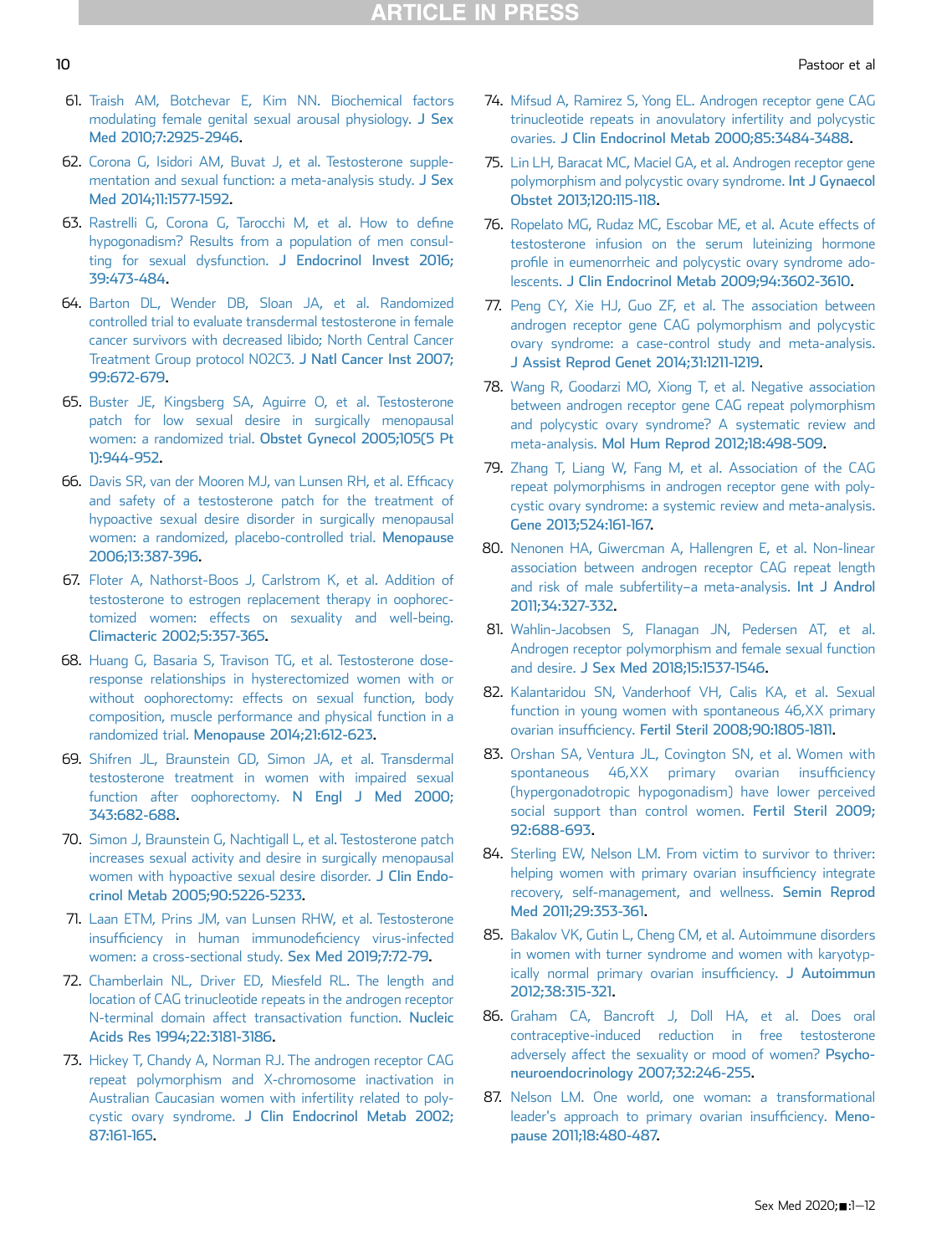- <span id="page-9-0"></span>61. [Traish AM, Botchevar E, Kim NN. Biochemical factors](http://refhub.elsevier.com/S2050-1161(20)30090-8/sref61) [modulating female genital sexual arousal physiology.](http://refhub.elsevier.com/S2050-1161(20)30090-8/sref61) J Sex [Med 2010;7:2925-2946](http://refhub.elsevier.com/S2050-1161(20)30090-8/sref61).
- <span id="page-9-1"></span>62. [Corona G, Isidori AM, Buvat J, et al. Testosterone supple](http://refhub.elsevier.com/S2050-1161(20)30090-8/sref62)[mentation and sexual function: a meta-analysis study.](http://refhub.elsevier.com/S2050-1161(20)30090-8/sref62) J Sex [Med 2014;11:1577-1592.](http://refhub.elsevier.com/S2050-1161(20)30090-8/sref62)
- <span id="page-9-2"></span>63. [Rastrelli G, Corona G, Tarocchi M, et al. How to de](http://refhub.elsevier.com/S2050-1161(20)30090-8/sref63)fine [hypogonadism? Results from a population of men consul](http://refhub.elsevier.com/S2050-1161(20)30090-8/sref63)[ting for sexual dysfunction.](http://refhub.elsevier.com/S2050-1161(20)30090-8/sref63) J Endocrinol Invest 2016; [39:473-484](http://refhub.elsevier.com/S2050-1161(20)30090-8/sref63).
- <span id="page-9-3"></span>64. [Barton DL, Wender DB, Sloan JA, et al. Randomized](http://refhub.elsevier.com/S2050-1161(20)30090-8/sref64) [controlled trial to evaluate transdermal testosterone in female](http://refhub.elsevier.com/S2050-1161(20)30090-8/sref64) [cancer survivors with decreased libido; North Central Cancer](http://refhub.elsevier.com/S2050-1161(20)30090-8/sref64) [Treatment Group protocol N02C3.](http://refhub.elsevier.com/S2050-1161(20)30090-8/sref64) J Natl Cancer Inst 2007; [99:672-679](http://refhub.elsevier.com/S2050-1161(20)30090-8/sref64).
- 65. [Buster JE, Kingsberg SA, Aguirre O, et al. Testosterone](http://refhub.elsevier.com/S2050-1161(20)30090-8/sref65) [patch for low sexual desire in surgically menopausal](http://refhub.elsevier.com/S2050-1161(20)30090-8/sref65) women: a randomized trial. [Obstet Gynecol 2005;105\(5 Pt](http://refhub.elsevier.com/S2050-1161(20)30090-8/sref65) [1\):944-952](http://refhub.elsevier.com/S2050-1161(20)30090-8/sref65).
- 66. [Davis SR, van der Mooren MJ, van Lunsen RH, et al. Ef](http://refhub.elsevier.com/S2050-1161(20)30090-8/sref66)ficacy [and safety of a testosterone patch for the treatment of](http://refhub.elsevier.com/S2050-1161(20)30090-8/sref66) [hypoactive sexual desire disorder in surgically menopausal](http://refhub.elsevier.com/S2050-1161(20)30090-8/sref66) [women: a randomized, placebo-controlled trial.](http://refhub.elsevier.com/S2050-1161(20)30090-8/sref66) Menopause [2006;13:387-396.](http://refhub.elsevier.com/S2050-1161(20)30090-8/sref66)
- 67. [Floter A, Nathorst-Boos J, Carlstrom K, et al. Addition of](http://refhub.elsevier.com/S2050-1161(20)30090-8/sref67) [testosterone to estrogen replacement therapy in oophorec](http://refhub.elsevier.com/S2050-1161(20)30090-8/sref67)[tomized women: effects on sexuality and well-being.](http://refhub.elsevier.com/S2050-1161(20)30090-8/sref67) [Climacteric 2002;5:357-365](http://refhub.elsevier.com/S2050-1161(20)30090-8/sref67).
- 68. [Huang G, Basaria S, Travison TG, et al. Testosterone dose](http://refhub.elsevier.com/S2050-1161(20)30090-8/sref68)[response relationships in hysterectomized women with or](http://refhub.elsevier.com/S2050-1161(20)30090-8/sref68) [without oophorectomy: effects on sexual function, body](http://refhub.elsevier.com/S2050-1161(20)30090-8/sref68) [composition, muscle performance and physical function in a](http://refhub.elsevier.com/S2050-1161(20)30090-8/sref68) randomized trial. [Menopause 2014;21:612-623.](http://refhub.elsevier.com/S2050-1161(20)30090-8/sref68)
- 69. [Shifren JL, Braunstein GD, Simon JA, et al. Transdermal](http://refhub.elsevier.com/S2050-1161(20)30090-8/sref69) [testosterone treatment in women with impaired sexual](http://refhub.elsevier.com/S2050-1161(20)30090-8/sref69) [function after oophorectomy.](http://refhub.elsevier.com/S2050-1161(20)30090-8/sref69) N Engl J Med 2000; [343:682-688.](http://refhub.elsevier.com/S2050-1161(20)30090-8/sref69)
- 70. [Simon J, Braunstein G, Nachtigall L, et al. Testosterone patch](http://refhub.elsevier.com/S2050-1161(20)30090-8/sref70) [increases sexual activity and desire in surgically menopausal](http://refhub.elsevier.com/S2050-1161(20)30090-8/sref70) [women with hypoactive sexual desire disorder.](http://refhub.elsevier.com/S2050-1161(20)30090-8/sref70) J Clin Endo[crinol Metab 2005;90:5226-5233](http://refhub.elsevier.com/S2050-1161(20)30090-8/sref70).
- <span id="page-9-4"></span>71. [Laan ETM, Prins JM, van Lunsen RHW, et al. Testosterone](http://refhub.elsevier.com/S2050-1161(20)30090-8/sref71) insuffi[ciency in human immunode](http://refhub.elsevier.com/S2050-1161(20)30090-8/sref71)ficiency virus-infected [women: a cross-sectional study.](http://refhub.elsevier.com/S2050-1161(20)30090-8/sref71) Sex Med 2019;7:72-79.
- <span id="page-9-5"></span>72. [Chamberlain NL, Driver ED, Miesfeld RL. The length and](http://refhub.elsevier.com/S2050-1161(20)30090-8/sref72) [location of CAG trinucleotide repeats in the androgen receptor](http://refhub.elsevier.com/S2050-1161(20)30090-8/sref72) [N-terminal domain affect transactivation function.](http://refhub.elsevier.com/S2050-1161(20)30090-8/sref72) Nucleic [Acids Res 1994;22:3181-3186.](http://refhub.elsevier.com/S2050-1161(20)30090-8/sref72)
- 73. [Hickey T, Chandy A, Norman RJ. The androgen receptor CAG](http://refhub.elsevier.com/S2050-1161(20)30090-8/sref73) [repeat polymorphism and X-chromosome inactivation in](http://refhub.elsevier.com/S2050-1161(20)30090-8/sref73) [Australian Caucasian women with infertility related to poly](http://refhub.elsevier.com/S2050-1161(20)30090-8/sref73)cystic ovary syndrome. [J Clin Endocrinol Metab 2002;](http://refhub.elsevier.com/S2050-1161(20)30090-8/sref73) [87:161-165](http://refhub.elsevier.com/S2050-1161(20)30090-8/sref73).
- 74. [Mifsud A, Ramirez S, Yong EL. Androgen receptor gene CAG](http://refhub.elsevier.com/S2050-1161(20)30090-8/sref74) [trinucleotide repeats in anovulatory infertility and polycystic](http://refhub.elsevier.com/S2050-1161(20)30090-8/sref74) ovaries. [J Clin Endocrinol Metab 2000;85:3484-3488](http://refhub.elsevier.com/S2050-1161(20)30090-8/sref74).
- 75. [Lin LH, Baracat MC, Maciel GA, et al. Androgen receptor gene](http://refhub.elsevier.com/S2050-1161(20)30090-8/sref75) [polymorphism and polycystic ovary syndrome.](http://refhub.elsevier.com/S2050-1161(20)30090-8/sref75) Int J Gynaecol [Obstet 2013;120:115-118](http://refhub.elsevier.com/S2050-1161(20)30090-8/sref75).
- 76. [Ropelato MG, Rudaz MC, Escobar ME, et al. Acute effects of](http://refhub.elsevier.com/S2050-1161(20)30090-8/sref76) [testosterone infusion on the serum luteinizing hormone](http://refhub.elsevier.com/S2050-1161(20)30090-8/sref76) profi[le in eumenorrheic and polycystic ovary syndrome ado](http://refhub.elsevier.com/S2050-1161(20)30090-8/sref76)lescents. [J Clin Endocrinol Metab 2009;94:3602-3610](http://refhub.elsevier.com/S2050-1161(20)30090-8/sref76).
- 77. [Peng CY, Xie HJ, Guo ZF, et al. The association between](http://refhub.elsevier.com/S2050-1161(20)30090-8/sref77) [androgen receptor gene CAG polymorphism and polycystic](http://refhub.elsevier.com/S2050-1161(20)30090-8/sref77) [ovary syndrome: a case-control study and meta-analysis.](http://refhub.elsevier.com/S2050-1161(20)30090-8/sref77) [J Assist Reprod Genet 2014;31:1211-1219.](http://refhub.elsevier.com/S2050-1161(20)30090-8/sref77)
- 78. [Wang R, Goodarzi MO, Xiong T, et al. Negative association](http://refhub.elsevier.com/S2050-1161(20)30090-8/sref78) [between androgen receptor gene CAG repeat polymorphism](http://refhub.elsevier.com/S2050-1161(20)30090-8/sref78) [and polycystic ovary syndrome? A systematic review and](http://refhub.elsevier.com/S2050-1161(20)30090-8/sref78) meta-analysis. [Mol Hum Reprod 2012;18:498-509](http://refhub.elsevier.com/S2050-1161(20)30090-8/sref78).
- 79. [Zhang T, Liang W, Fang M, et al. Association of the CAG](http://refhub.elsevier.com/S2050-1161(20)30090-8/sref79) [repeat polymorphisms in androgen receptor gene with poly](http://refhub.elsevier.com/S2050-1161(20)30090-8/sref79)[cystic ovary syndrome: a systemic review and meta-analysis.](http://refhub.elsevier.com/S2050-1161(20)30090-8/sref79) [Gene 2013;524:161-167.](http://refhub.elsevier.com/S2050-1161(20)30090-8/sref79)
- <span id="page-9-6"></span>80. [Nenonen HA, Giwercman A, Hallengren E, et al. Non-linear](http://refhub.elsevier.com/S2050-1161(20)30090-8/sref80) [association between androgen receptor CAG repeat length](http://refhub.elsevier.com/S2050-1161(20)30090-8/sref80) [and risk of male subfertility](http://refhub.elsevier.com/S2050-1161(20)30090-8/sref80)-a meta-analysis. Int J Androl [2011;34:327-332.](http://refhub.elsevier.com/S2050-1161(20)30090-8/sref80)
- <span id="page-9-8"></span><span id="page-9-7"></span>81. [Wahlin-Jacobsen S, Flanagan JN, Pedersen AT, et al.](http://refhub.elsevier.com/S2050-1161(20)30090-8/sref81) [Androgen receptor polymorphism and female sexual function](http://refhub.elsevier.com/S2050-1161(20)30090-8/sref81) and desire. [J Sex Med 2018;15:1537-1546](http://refhub.elsevier.com/S2050-1161(20)30090-8/sref81).
- 82. [Kalantaridou SN, Vanderhoof VH, Calis KA, et al. Sexual](http://refhub.elsevier.com/S2050-1161(20)30090-8/sref82) [function in young women with spontaneous 46,XX primary](http://refhub.elsevier.com/S2050-1161(20)30090-8/sref82) ovarian insufficiency. [Fertil Steril 2008;90:1805-1811](http://refhub.elsevier.com/S2050-1161(20)30090-8/sref82).
- 83. [Orshan SA, Ventura JL, Covington SN, et al. Women with](http://refhub.elsevier.com/S2050-1161(20)30090-8/sref83) [spontaneous 46,XX primary ovarian insuf](http://refhub.elsevier.com/S2050-1161(20)30090-8/sref83)ficiency [\(hypergonadotropic hypogonadism\) have lower perceived](http://refhub.elsevier.com/S2050-1161(20)30090-8/sref83) [social support than control women.](http://refhub.elsevier.com/S2050-1161(20)30090-8/sref83) Fertil Steril 2009; [92:688-693.](http://refhub.elsevier.com/S2050-1161(20)30090-8/sref83)
- 84. [Sterling EW, Nelson LM. From victim to survivor to thriver:](http://refhub.elsevier.com/S2050-1161(20)30090-8/sref84) [helping women with primary ovarian insuf](http://refhub.elsevier.com/S2050-1161(20)30090-8/sref84)ficiency integrate [recovery, self-management, and wellness.](http://refhub.elsevier.com/S2050-1161(20)30090-8/sref84) Semin Reprod [Med 2011;29:353-361.](http://refhub.elsevier.com/S2050-1161(20)30090-8/sref84)
- 85. [Bakalov VK, Gutin L, Cheng CM, et al. Autoimmune disorders](http://refhub.elsevier.com/S2050-1161(20)30090-8/sref85) [in women with turner syndrome and women with karyotyp](http://refhub.elsevier.com/S2050-1161(20)30090-8/sref85)[ically normal primary ovarian insuf](http://refhub.elsevier.com/S2050-1161(20)30090-8/sref85)ficiency. J Autoimmun [2012;38:315-321.](http://refhub.elsevier.com/S2050-1161(20)30090-8/sref85)
- 86. [Graham CA, Bancroft J, Doll HA, et al. Does oral](http://refhub.elsevier.com/S2050-1161(20)30090-8/sref86) [contraceptive-induced reduction in free testosterone](http://refhub.elsevier.com/S2050-1161(20)30090-8/sref86) [adversely affect the sexuality or mood of women?](http://refhub.elsevier.com/S2050-1161(20)30090-8/sref86) Psycho[neuroendocrinology 2007;32:246-255.](http://refhub.elsevier.com/S2050-1161(20)30090-8/sref86)
- 87. [Nelson LM. One world, one woman: a transformational](http://refhub.elsevier.com/S2050-1161(20)30090-8/sref87) [leader's approach to primary ovarian insuf](http://refhub.elsevier.com/S2050-1161(20)30090-8/sref87)ficiency. Meno[pause 2011;18:480-487.](http://refhub.elsevier.com/S2050-1161(20)30090-8/sref87)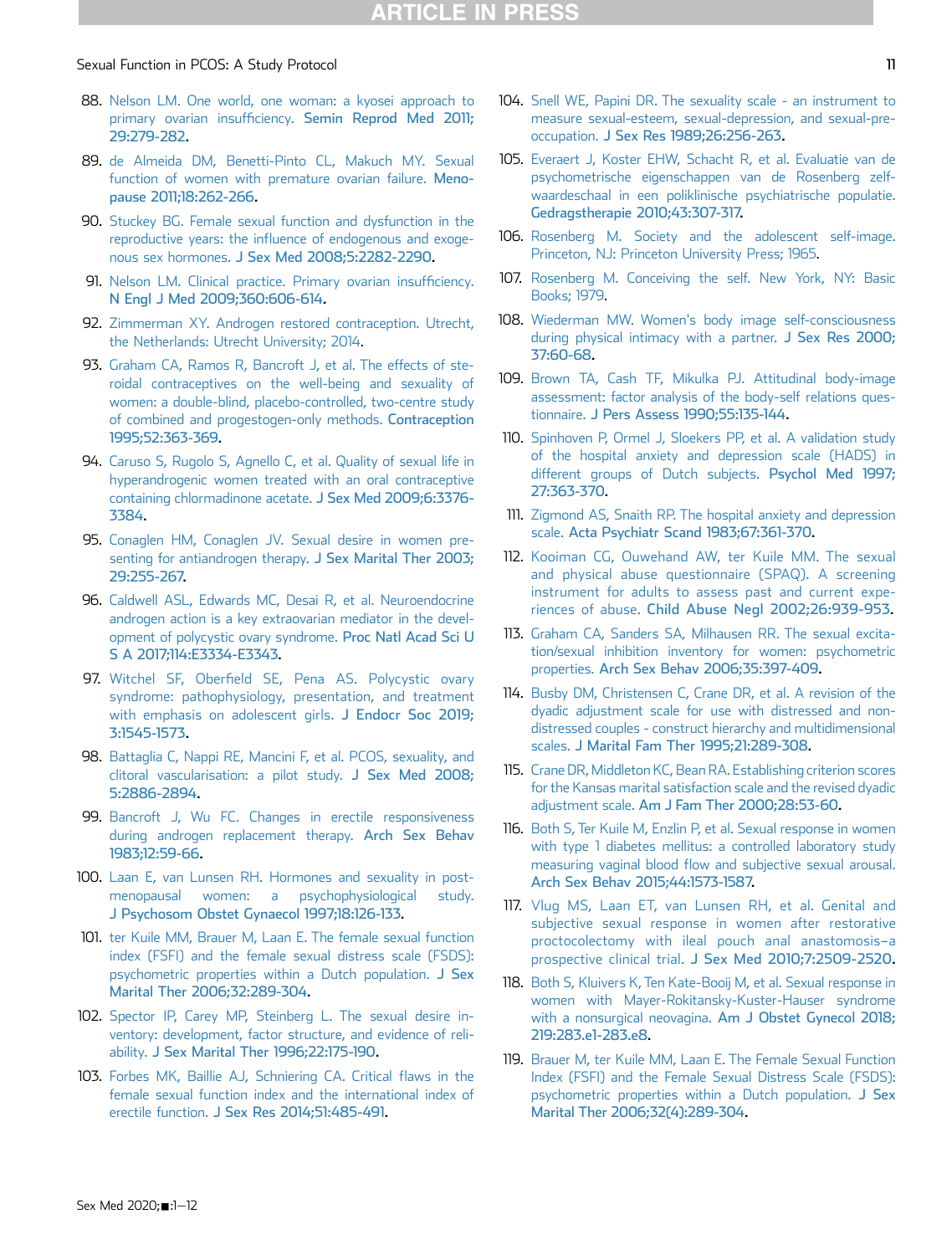- <span id="page-10-2"></span>88. [Nelson LM. One world, one woman: a kyosei approach to](http://refhub.elsevier.com/S2050-1161(20)30090-8/sref88) primary ovarian insufficiency. [Semin Reprod Med 2011;](http://refhub.elsevier.com/S2050-1161(20)30090-8/sref88) [29:279-282.](http://refhub.elsevier.com/S2050-1161(20)30090-8/sref88)
- <span id="page-10-3"></span>89. [de Almeida DM, Benetti-Pinto CL, Makuch MY. Sexual](http://refhub.elsevier.com/S2050-1161(20)30090-8/sref89) [function of women with premature ovarian failure.](http://refhub.elsevier.com/S2050-1161(20)30090-8/sref89) Meno[pause 2011;18:262-266.](http://refhub.elsevier.com/S2050-1161(20)30090-8/sref89)
- <span id="page-10-0"></span>90. [Stuckey BG. Female sexual function and dysfunction in the](http://refhub.elsevier.com/S2050-1161(20)30090-8/sref90) reproductive years: the infl[uence of endogenous and exoge](http://refhub.elsevier.com/S2050-1161(20)30090-8/sref90)nous sex hormones. [J Sex Med 2008;5:2282-2290](http://refhub.elsevier.com/S2050-1161(20)30090-8/sref90).
- 91. [Nelson LM. Clinical practice. Primary ovarian insuf](http://refhub.elsevier.com/S2050-1161(20)30090-8/sref91)ficiency. [N Engl J Med 2009;360:606-614](http://refhub.elsevier.com/S2050-1161(20)30090-8/sref91).
- <span id="page-10-1"></span>92. [Zimmerman XY. Androgen restored contraception. Utrecht,](http://refhub.elsevier.com/S2050-1161(20)30090-8/sref92) [the Netherlands: Utrecht University; 2014.](http://refhub.elsevier.com/S2050-1161(20)30090-8/sref92)
- <span id="page-10-4"></span>93. [Graham CA, Ramos R, Bancroft J, et al. The effects of ste](http://refhub.elsevier.com/S2050-1161(20)30090-8/sref93)[roidal contraceptives on the well-being and sexuality of](http://refhub.elsevier.com/S2050-1161(20)30090-8/sref93) [women: a double-blind, placebo-controlled, two-centre study](http://refhub.elsevier.com/S2050-1161(20)30090-8/sref93) [of combined and progestogen-only methods.](http://refhub.elsevier.com/S2050-1161(20)30090-8/sref93) Contraception [1995;52:363-369](http://refhub.elsevier.com/S2050-1161(20)30090-8/sref93).
- <span id="page-10-5"></span>94. [Caruso S, Rugolo S, Agnello C, et al. Quality of sexual life in](http://refhub.elsevier.com/S2050-1161(20)30090-8/sref94) [hyperandrogenic women treated with an oral contraceptive](http://refhub.elsevier.com/S2050-1161(20)30090-8/sref94) [containing chlormadinone acetate.](http://refhub.elsevier.com/S2050-1161(20)30090-8/sref94) J Sex Med 2009;6:3376- [3384](http://refhub.elsevier.com/S2050-1161(20)30090-8/sref94).
- <span id="page-10-6"></span>95. [Conaglen HM, Conaglen JV. Sexual desire in women pre](http://refhub.elsevier.com/S2050-1161(20)30090-8/sref95)[senting for antiandrogen therapy.](http://refhub.elsevier.com/S2050-1161(20)30090-8/sref95) J Sex Marital Ther 2003; [29:255-267.](http://refhub.elsevier.com/S2050-1161(20)30090-8/sref95)
- <span id="page-10-7"></span>96. [Caldwell ASL, Edwards MC, Desai R, et al. Neuroendocrine](http://refhub.elsevier.com/S2050-1161(20)30090-8/sref96) [androgen action is a key extraovarian mediator in the devel](http://refhub.elsevier.com/S2050-1161(20)30090-8/sref96)[opment of polycystic ovary syndrome.](http://refhub.elsevier.com/S2050-1161(20)30090-8/sref96) Proc Natl Acad Sci U [S A 2017;114:E3334-E3343](http://refhub.elsevier.com/S2050-1161(20)30090-8/sref96).
- <span id="page-10-8"></span>97. Witchel SF, Oberfi[eld SE, Pena AS. Polycystic ovary](http://refhub.elsevier.com/S2050-1161(20)30090-8/sref97) [syndrome: pathophysiology, presentation, and treatment](http://refhub.elsevier.com/S2050-1161(20)30090-8/sref97) [with emphasis on adolescent girls.](http://refhub.elsevier.com/S2050-1161(20)30090-8/sref97) J Endocr Soc 2019; [3:1545-1573.](http://refhub.elsevier.com/S2050-1161(20)30090-8/sref97)
- <span id="page-10-9"></span>98. [Battaglia C, Nappi RE, Mancini F, et al. PCOS, sexuality, and](http://refhub.elsevier.com/S2050-1161(20)30090-8/sref98) [clitoral vascularisation: a pilot study.](http://refhub.elsevier.com/S2050-1161(20)30090-8/sref98) J Sex Med 2008; [5:2886-2894.](http://refhub.elsevier.com/S2050-1161(20)30090-8/sref98)
- <span id="page-10-10"></span>99. [Bancroft J, Wu FC. Changes in erectile responsiveness](http://refhub.elsevier.com/S2050-1161(20)30090-8/sref99) [during androgen replacement therapy.](http://refhub.elsevier.com/S2050-1161(20)30090-8/sref99) Arch Sex Behav [1983;12:59-66](http://refhub.elsevier.com/S2050-1161(20)30090-8/sref99).
- <span id="page-10-11"></span>100. [Laan E, van Lunsen RH. Hormones and sexuality in post](http://refhub.elsevier.com/S2050-1161(20)30090-8/sref100)[menopausal women: a psychophysiological study.](http://refhub.elsevier.com/S2050-1161(20)30090-8/sref100) [J Psychosom Obstet Gynaecol 1997;18:126-133](http://refhub.elsevier.com/S2050-1161(20)30090-8/sref100).
- <span id="page-10-13"></span>101. [ter Kuile MM, Brauer M, Laan E. The female sexual function](http://refhub.elsevier.com/S2050-1161(20)30090-8/sref101) [index \(FSFI\) and the female sexual distress scale \(FSDS\):](http://refhub.elsevier.com/S2050-1161(20)30090-8/sref101) [psychometric properties within a Dutch population.](http://refhub.elsevier.com/S2050-1161(20)30090-8/sref101) J Sex [Marital Ther 2006;32:289-304.](http://refhub.elsevier.com/S2050-1161(20)30090-8/sref101)
- <span id="page-10-14"></span>102. [Spector IP, Carey MP, Steinberg L. The sexual desire in](http://refhub.elsevier.com/S2050-1161(20)30090-8/sref102)[ventory: development, factor structure, and evidence of reli](http://refhub.elsevier.com/S2050-1161(20)30090-8/sref102)ability. [J Sex Marital Ther 1996;22:175-190](http://refhub.elsevier.com/S2050-1161(20)30090-8/sref102).
- <span id="page-10-15"></span>103. [Forbes MK, Baillie AJ, Schniering CA. Critical](http://refhub.elsevier.com/S2050-1161(20)30090-8/sref103) flaws in the [female sexual function index and the international index of](http://refhub.elsevier.com/S2050-1161(20)30090-8/sref103) erectile function. [J Sex Res 2014;51:485-491.](http://refhub.elsevier.com/S2050-1161(20)30090-8/sref103)
- <span id="page-10-16"></span>104. [Snell WE, Papini DR. The sexuality scale - an instrument to](http://refhub.elsevier.com/S2050-1161(20)30090-8/sref104) [measure sexual-esteem, sexual-depression, and sexual-pre](http://refhub.elsevier.com/S2050-1161(20)30090-8/sref104)occupation. [J Sex Res 1989;26:256-263.](http://refhub.elsevier.com/S2050-1161(20)30090-8/sref104)
- <span id="page-10-17"></span>105. [Everaert J, Koster EHW, Schacht R, et al. Evaluatie van de](http://refhub.elsevier.com/S2050-1161(20)30090-8/sref105) [psychometrische eigenschappen van de Rosenberg zelf](http://refhub.elsevier.com/S2050-1161(20)30090-8/sref105)[waardeschaal in een poliklinische psychiatrische populatie.](http://refhub.elsevier.com/S2050-1161(20)30090-8/sref105) [Gedragstherapie 2010;43:307-317.](http://refhub.elsevier.com/S2050-1161(20)30090-8/sref105)
- 106. [Rosenberg M. Society and the adolescent self-image.](http://refhub.elsevier.com/S2050-1161(20)30090-8/sref106) [Princeton, NJ: Princeton University Press; 1965](http://refhub.elsevier.com/S2050-1161(20)30090-8/sref106).
- 107. [Rosenberg M. Conceiving the self. New York, NY: Basic](http://refhub.elsevier.com/S2050-1161(20)30090-8/sref107) [Books; 1979.](http://refhub.elsevier.com/S2050-1161(20)30090-8/sref107)
- <span id="page-10-18"></span>108. [Wiederman MW. Women's body image self-consciousness](http://refhub.elsevier.com/S2050-1161(20)30090-8/sref108) [during physical intimacy with a partner.](http://refhub.elsevier.com/S2050-1161(20)30090-8/sref108) J Sex Res 2000; [37:60-68](http://refhub.elsevier.com/S2050-1161(20)30090-8/sref108).
- <span id="page-10-19"></span>109. [Brown TA, Cash TF, Mikulka PJ. Attitudinal body-image](http://refhub.elsevier.com/S2050-1161(20)30090-8/sref109) [assessment: factor analysis of the body-self relations ques](http://refhub.elsevier.com/S2050-1161(20)30090-8/sref109)tionnaire. [J Pers Assess 1990;55:135-144](http://refhub.elsevier.com/S2050-1161(20)30090-8/sref109).
- <span id="page-10-20"></span>110. [Spinhoven P, Ormel J, Sloekers PP, et al. A validation study](http://refhub.elsevier.com/S2050-1161(20)30090-8/sref110) [of the hospital anxiety and depression scale \(HADS\) in](http://refhub.elsevier.com/S2050-1161(20)30090-8/sref110) [different groups of Dutch subjects.](http://refhub.elsevier.com/S2050-1161(20)30090-8/sref110) Psychol Med 1997; [27:363-370](http://refhub.elsevier.com/S2050-1161(20)30090-8/sref110).
- <span id="page-10-21"></span>111. [Zigmond AS, Snaith RP. The hospital anxiety and depression](http://refhub.elsevier.com/S2050-1161(20)30090-8/sref111) scale. [Acta Psychiatr Scand 1983;67:361-370](http://refhub.elsevier.com/S2050-1161(20)30090-8/sref111).
- <span id="page-10-22"></span>112. [Kooiman CG, Ouwehand AW, ter Kuile MM. The sexual](http://refhub.elsevier.com/S2050-1161(20)30090-8/sref112) [and physical abuse questionnaire \(SPAQ\). A screening](http://refhub.elsevier.com/S2050-1161(20)30090-8/sref112) [instrument for adults to assess past and current expe](http://refhub.elsevier.com/S2050-1161(20)30090-8/sref112)riences of abuse. [Child Abuse Negl 2002;26:939-953](http://refhub.elsevier.com/S2050-1161(20)30090-8/sref112).
- <span id="page-10-23"></span>113. [Graham CA, Sanders SA, Milhausen RR. The sexual excita](http://refhub.elsevier.com/S2050-1161(20)30090-8/sref113)[tion/sexual inhibition inventory for women: psychometric](http://refhub.elsevier.com/S2050-1161(20)30090-8/sref113) properties. [Arch Sex Behav 2006;35:397-409.](http://refhub.elsevier.com/S2050-1161(20)30090-8/sref113)
- <span id="page-10-24"></span>114. [Busby DM, Christensen C, Crane DR, et al. A revision of the](http://refhub.elsevier.com/S2050-1161(20)30090-8/sref114) [dyadic adjustment scale for use with distressed and non](http://refhub.elsevier.com/S2050-1161(20)30090-8/sref114)[distressed couples - construct hierarchy and multidimensional](http://refhub.elsevier.com/S2050-1161(20)30090-8/sref114) scales. [J Marital Fam Ther 1995;21:289-308](http://refhub.elsevier.com/S2050-1161(20)30090-8/sref114).
- <span id="page-10-25"></span>115. [Crane DR, Middleton KC, Bean RA. Establishing criterion scores](http://refhub.elsevier.com/S2050-1161(20)30090-8/sref115) [for the Kansas marital satisfaction scale and the revised dyadic](http://refhub.elsevier.com/S2050-1161(20)30090-8/sref115) adjustment scale. [Am J Fam Ther 2000;28:53-60.](http://refhub.elsevier.com/S2050-1161(20)30090-8/sref115)
- <span id="page-10-26"></span>116. [Both S, Ter Kuile M, Enzlin P, et al. Sexual response in women](http://refhub.elsevier.com/S2050-1161(20)30090-8/sref116) [with type 1 diabetes mellitus: a controlled laboratory study](http://refhub.elsevier.com/S2050-1161(20)30090-8/sref116) measuring vaginal blood fl[ow and subjective sexual arousal.](http://refhub.elsevier.com/S2050-1161(20)30090-8/sref116) [Arch Sex Behav 2015;44:1573-1587.](http://refhub.elsevier.com/S2050-1161(20)30090-8/sref116)
- <span id="page-10-27"></span>117. [Vlug MS, Laan ET, van Lunsen RH, et al. Genital and](http://refhub.elsevier.com/S2050-1161(20)30090-8/sref117) [subjective sexual response in women after restorative](http://refhub.elsevier.com/S2050-1161(20)30090-8/sref117) [proctocolectomy with ileal pouch anal anastomosis](http://refhub.elsevier.com/S2050-1161(20)30090-8/sref117)–a prospective clinical trial. [J Sex Med 2010;7:2509-2520](http://refhub.elsevier.com/S2050-1161(20)30090-8/sref117).
- <span id="page-10-28"></span>118. [Both S, Kluivers K, Ten Kate-Booij M, et al. Sexual response in](http://refhub.elsevier.com/S2050-1161(20)30090-8/sref118) [women with Mayer-Rokitansky-Kuster-Hauser syndrome](http://refhub.elsevier.com/S2050-1161(20)30090-8/sref118) [with a nonsurgical neovagina.](http://refhub.elsevier.com/S2050-1161(20)30090-8/sref118) Am J Obstet Gynecol 2018; [219:283.e1-283.e8.](http://refhub.elsevier.com/S2050-1161(20)30090-8/sref118)
- <span id="page-10-12"></span>119. [Brauer M, ter Kuile MM, Laan E. The Female Sexual Function](http://refhub.elsevier.com/S2050-1161(20)30090-8/sref119) [Index \(FSFI\) and the Female Sexual Distress Scale \(FSDS\):](http://refhub.elsevier.com/S2050-1161(20)30090-8/sref119) [psychometric properties within a Dutch population.](http://refhub.elsevier.com/S2050-1161(20)30090-8/sref119) J Sex [Marital Ther 2006;32\(4\):289-304](http://refhub.elsevier.com/S2050-1161(20)30090-8/sref119).